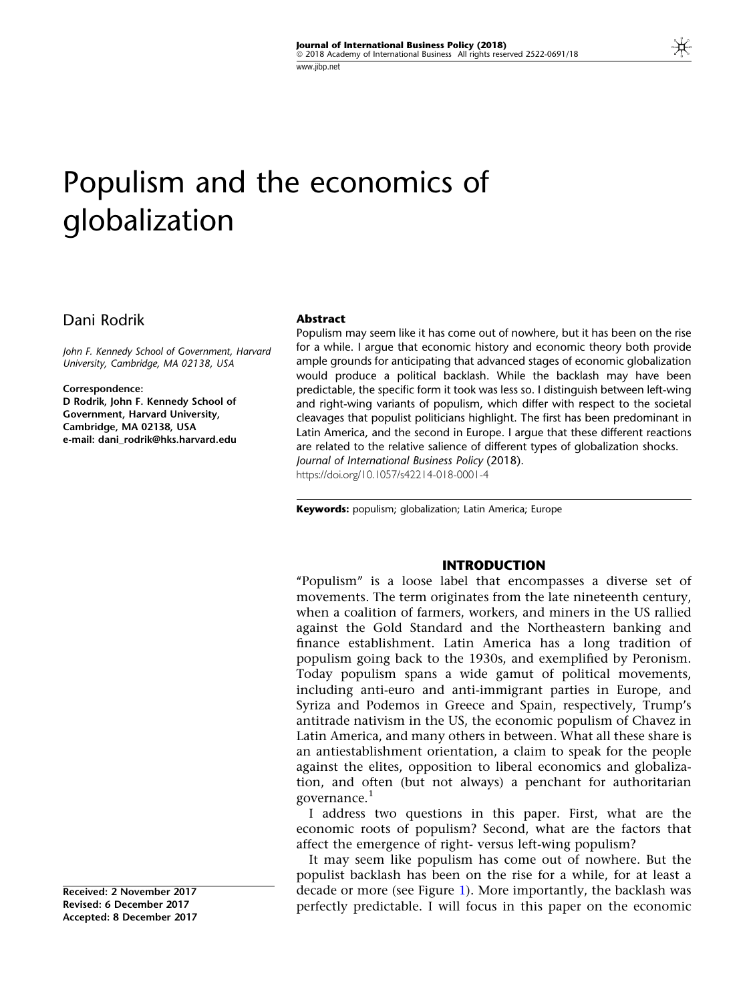# Populism and the economics of globalization

# Dani Rodrik

John F. Kennedy School of Government, Harvard University, Cambridge, MA 02138, USA

Correspondence:

D Rodrik, John F. Kennedy School of Government, Harvard University, Cambridge, MA 02138, USA e-mail: dani\_rodrik@hks.harvard.edu

## Abstract

Populism may seem like it has come out of nowhere, but it has been on the rise for a while. I argue that economic history and economic theory both provide ample grounds for anticipating that advanced stages of economic globalization would produce a political backlash. While the backlash may have been predictable, the specific form it took was less so. I distinguish between left-wing and right-wing variants of populism, which differ with respect to the societal cleavages that populist politicians highlight. The first has been predominant in Latin America, and the second in Europe. I argue that these different reactions are related to the relative salience of different types of globalization shocks. Journal of International Business Policy (2018). https://doi.org/10.1057/s42214-018-0001-4

Keywords: populism; globalization; Latin America; Europe

# INTRODUCTION

''Populism'' is a loose label that encompasses a diverse set of movements. The term originates from the late nineteenth century, when a coalition of farmers, workers, and miners in the US rallied against the Gold Standard and the Northeastern banking and finance establishment. Latin America has a long tradition of populism going back to the 1930s, and exemplified by Peronism. Today populism spans a wide gamut of political movements, including anti-euro and anti-immigrant parties in Europe, and Syriza and Podemos in Greece and Spain, respectively, Trump's antitrade nativism in the US, the economic populism of Chavez in Latin America, and many others in between. What all these share is an antiestablishment orientation, a claim to speak for the people against the elites, opposition to liberal economics and globalization, and often (but not always) a penchant for authoritarian governance.<sup>1</sup>

I address two questions in this paper. First, what are the economic roots of populism? Second, what are the factors that affect the emergence of right- versus left-wing populism?

It may seem like populism has come out of nowhere. But the populist backlash has been on the rise for a while, for at least a decade or more (see Figure [1\)](#page-1-0). More importantly, the backlash was perfectly predictable. I will focus in this paper on the economic

Received: 2 November 2017 Revised: 6 December 2017 Accepted: 8 December 2017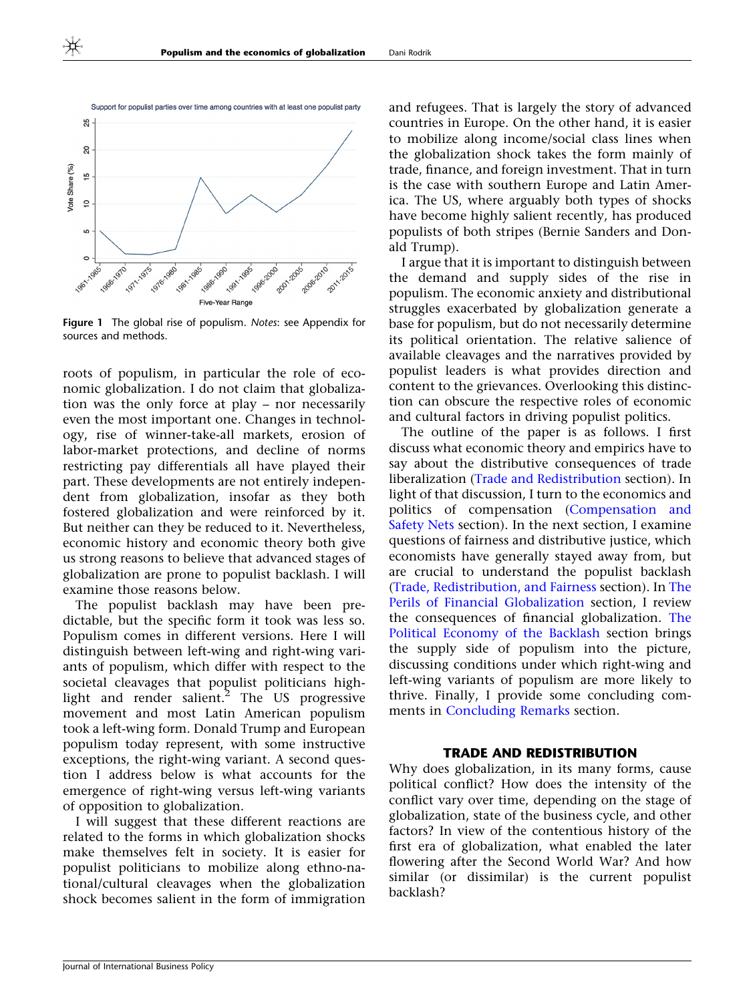<span id="page-1-0"></span>

Figure 1 The global rise of populism. Notes: see Appendix for sources and methods.

roots of populism, in particular the role of economic globalization. I do not claim that globalization was the only force at play – nor necessarily even the most important one. Changes in technology, rise of winner-take-all markets, erosion of labor-market protections, and decline of norms restricting pay differentials all have played their part. These developments are not entirely independent from globalization, insofar as they both fostered globalization and were reinforced by it. But neither can they be reduced to it. Nevertheless, economic history and economic theory both give us strong reasons to believe that advanced stages of globalization are prone to populist backlash. I will examine those reasons below.

The populist backlash may have been predictable, but the specific form it took was less so. Populism comes in different versions. Here I will distinguish between left-wing and right-wing variants of populism, which differ with respect to the societal cleavages that populist politicians highlight and render salient.<sup>2</sup> The US progressive movement and most Latin American populism took a left-wing form. Donald Trump and European populism today represent, with some instructive exceptions, the right-wing variant. A second question I address below is what accounts for the emergence of right-wing versus left-wing variants of opposition to globalization.

I will suggest that these different reactions are related to the forms in which globalization shocks make themselves felt in society. It is easier for populist politicians to mobilize along ethno-national/cultural cleavages when the globalization shock becomes salient in the form of immigration

and refugees. That is largely the story of advanced countries in Europe. On the other hand, it is easier to mobilize along income/social class lines when the globalization shock takes the form mainly of trade, finance, and foreign investment. That in turn is the case with southern Europe and Latin America. The US, where arguably both types of shocks have become highly salient recently, has produced populists of both stripes (Bernie Sanders and Donald Trump).

I argue that it is important to distinguish between the demand and supply sides of the rise in populism. The economic anxiety and distributional struggles exacerbated by globalization generate a base for populism, but do not necessarily determine its political orientation. The relative salience of available cleavages and the narratives provided by populist leaders is what provides direction and content to the grievances. Overlooking this distinction can obscure the respective roles of economic and cultural factors in driving populist politics.

The outline of the paper is as follows. I first discuss what economic theory and empirics have to say about the distributive consequences of trade liberalization (Trade and Redistribution section). In light of that discussion, I turn to the economics and politics of compensation [\(Compensation and](#page-4-0) [Safety Nets](#page-4-0) section). In the next section, I examine questions of fairness and distributive justice, which economists have generally stayed away from, but are crucial to understand the populist backlash [\(Trade, Redistribution, and Fairness](#page-6-0) section). In [The](#page-7-0) [Perils of Financial Globalization](#page-7-0) section, I review the consequences of financial globalization. [The](#page-11-0) [Political Economy of the Backlash](#page-11-0) section brings the supply side of populism into the picture, discussing conditions under which right-wing and left-wing variants of populism are more likely to thrive. Finally, I provide some concluding comments in [Concluding Remarks](#page-15-0) section.

## TRADE AND REDISTRIBUTION

Why does globalization, in its many forms, cause political conflict? How does the intensity of the conflict vary over time, depending on the stage of globalization, state of the business cycle, and other factors? In view of the contentious history of the first era of globalization, what enabled the later flowering after the Second World War? And how similar (or dissimilar) is the current populist backlash?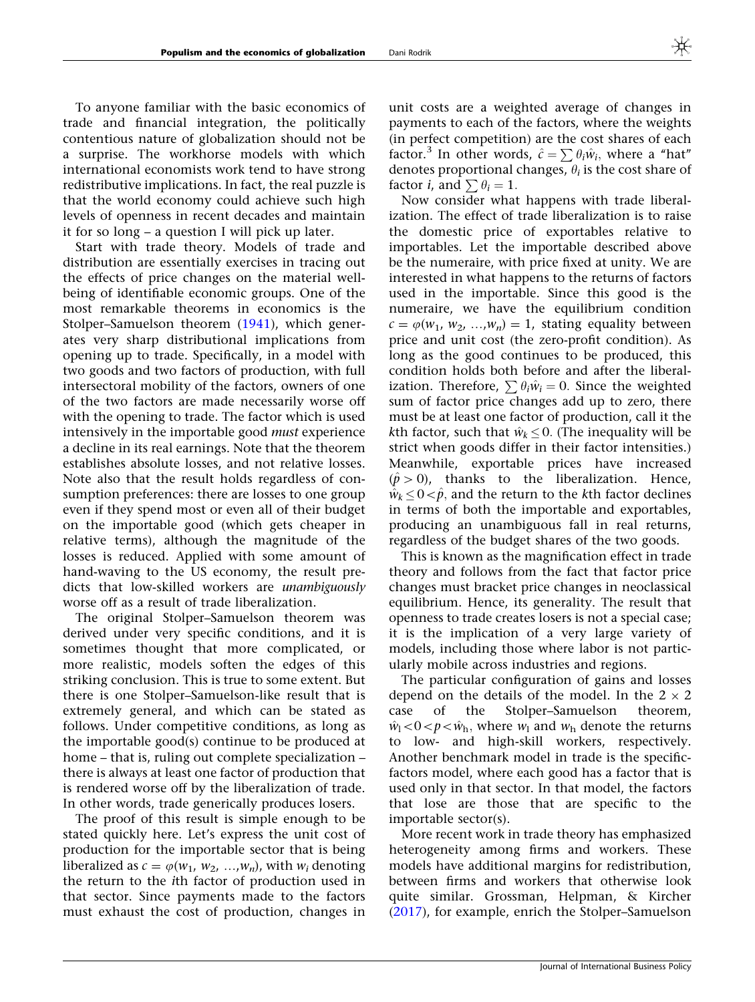To anyone familiar with the basic economics of trade and financial integration, the politically contentious nature of globalization should not be a surprise. The workhorse models with which international economists work tend to have strong redistributive implications. In fact, the real puzzle is that the world economy could achieve such high levels of openness in recent decades and maintain it for so long – a question I will pick up later.

Start with trade theory. Models of trade and distribution are essentially exercises in tracing out the effects of price changes on the material wellbeing of identifiable economic groups. One of the most remarkable theorems in economics is the Stolper–Samuelson theorem ([1941\)](#page-20-0), which generates very sharp distributional implications from opening up to trade. Specifically, in a model with two goods and two factors of production, with full intersectoral mobility of the factors, owners of one of the two factors are made necessarily worse off with the opening to trade. The factor which is used intensively in the importable good must experience a decline in its real earnings. Note that the theorem establishes absolute losses, and not relative losses. Note also that the result holds regardless of consumption preferences: there are losses to one group even if they spend most or even all of their budget on the importable good (which gets cheaper in relative terms), although the magnitude of the losses is reduced. Applied with some amount of hand-waving to the US economy, the result predicts that low-skilled workers are unambiguously worse off as a result of trade liberalization.

The original Stolper–Samuelson theorem was derived under very specific conditions, and it is sometimes thought that more complicated, or more realistic, models soften the edges of this striking conclusion. This is true to some extent. But there is one Stolper–Samuelson-like result that is extremely general, and which can be stated as follows. Under competitive conditions, as long as the importable good(s) continue to be produced at home – that is, ruling out complete specialization – there is always at least one factor of production that is rendered worse off by the liberalization of trade. In other words, trade generically produces losers.

The proof of this result is simple enough to be stated quickly here. Let's express the unit cost of production for the importable sector that is being liberalized as  $c = \varphi(w_1, w_2, ..., w_n)$ , with  $w_i$  denoting the return to the ith factor of production used in that sector. Since payments made to the factors must exhaust the cost of production, changes in

unit costs are a weighted average of changes in payments to each of the factors, where the weights (in perfect competition) are the cost shares of each factor.<sup>3</sup> In other words,  $\hat{c} = \sum \theta_i \hat{w}_i$ , where a "hat" denotes proportional changes,  $\theta_i$  is the cost share of factor *i*, and  $\sum \theta_i = 1$ .

Now consider what happens with trade liberalization. The effect of trade liberalization is to raise the domestic price of exportables relative to importables. Let the importable described above be the numeraire, with price fixed at unity. We are interested in what happens to the returns of factors used in the importable. Since this good is the numeraire, we have the equilibrium condition  $c = \varphi(w_1, w_2, ..., w_n) = 1$ , stating equality between price and unit cost (the zero-profit condition). As long as the good continues to be produced, this condition holds both before and after the liberalization. Therefore,  $\sum \theta_i \hat{w}_i = 0$ . Since the weighted sum of factor price changes add up to zero, there must be at least one factor of production, call it the kth factor, such that  $\hat{w}_k \leq 0$ . (The inequality will be strict when goods differ in their factor intensities.) Meanwhile, exportable prices have increased  $(\hat{p} > 0)$ , thanks to the liberalization. Hence,  $\hat{w}_k \!\leq\! 0\!<\!\hat{p}$ , and the return to the *k*th factor declines in terms of both the importable and exportables, producing an unambiguous fall in real returns, regardless of the budget shares of the two goods.

This is known as the magnification effect in trade theory and follows from the fact that factor price changes must bracket price changes in neoclassical equilibrium. Hence, its generality. The result that openness to trade creates losers is not a special case; it is the implication of a very large variety of models, including those where labor is not particularly mobile across industries and regions.

The particular configuration of gains and losses depend on the details of the model. In the  $2 \times 2$ case of the Stolper–Samuelson theorem,  $\hat{w}_1 < 0 < p < \hat{w}_h$ , where  $w_1$  and  $w_h$  denote the returns to low- and high-skill workers, respectively. Another benchmark model in trade is the specificfactors model, where each good has a factor that is used only in that sector. In that model, the factors that lose are those that are specific to the importable sector(s).

More recent work in trade theory has emphasized heterogeneity among firms and workers. These models have additional margins for redistribution, between firms and workers that otherwise look quite similar. Grossman, Helpman, & Kircher [\(2017](#page-19-0)), for example, enrich the Stolper–Samuelson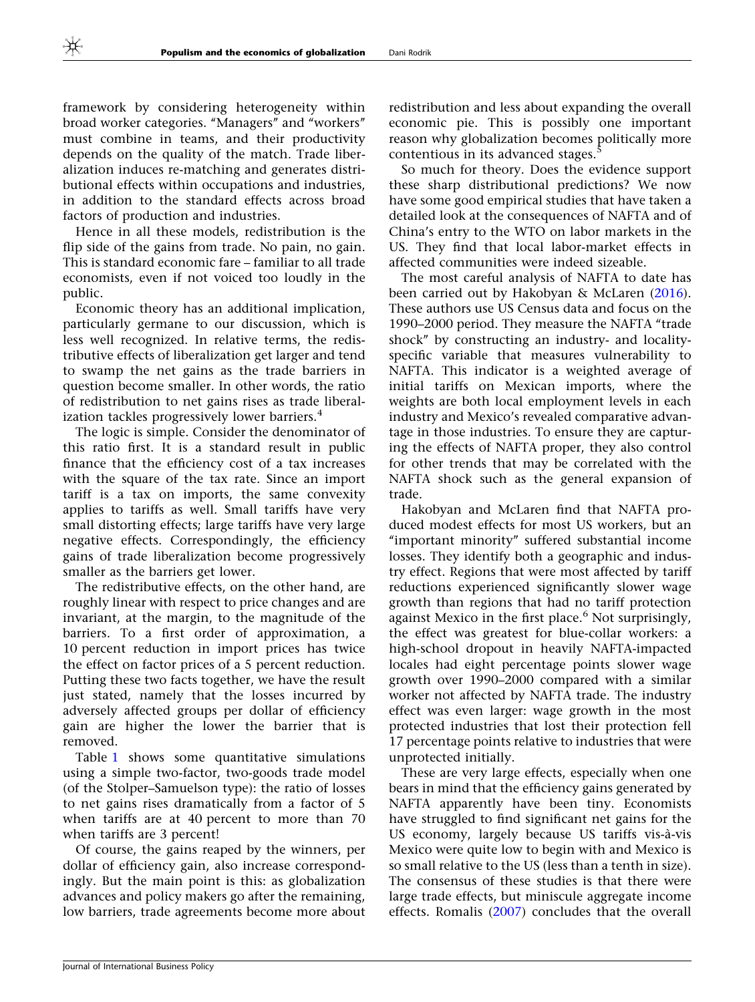framework by considering heterogeneity within broad worker categories. ''Managers'' and ''workers'' must combine in teams, and their productivity depends on the quality of the match. Trade liberalization induces re-matching and generates distributional effects within occupations and industries, in addition to the standard effects across broad factors of production and industries.

Hence in all these models, redistribution is the flip side of the gains from trade. No pain, no gain. This is standard economic fare – familiar to all trade economists, even if not voiced too loudly in the public.

Economic theory has an additional implication, particularly germane to our discussion, which is less well recognized. In relative terms, the redistributive effects of liberalization get larger and tend to swamp the net gains as the trade barriers in question become smaller. In other words, the ratio of redistribution to net gains rises as trade liberalization tackles progressively lower barriers.<sup>4</sup>

The logic is simple. Consider the denominator of this ratio first. It is a standard result in public finance that the efficiency cost of a tax increases with the square of the tax rate. Since an import tariff is a tax on imports, the same convexity applies to tariffs as well. Small tariffs have very small distorting effects; large tariffs have very large negative effects. Correspondingly, the efficiency gains of trade liberalization become progressively smaller as the barriers get lower.

The redistributive effects, on the other hand, are roughly linear with respect to price changes and are invariant, at the margin, to the magnitude of the barriers. To a first order of approximation, a 10 percent reduction in import prices has twice the effect on factor prices of a 5 percent reduction. Putting these two facts together, we have the result just stated, namely that the losses incurred by adversely affected groups per dollar of efficiency gain are higher the lower the barrier that is removed.

Table [1](#page-14-0) shows some quantitative simulations using a simple two-factor, two-goods trade model (of the Stolper–Samuelson type): the ratio of losses to net gains rises dramatically from a factor of 5 when tariffs are at 40 percent to more than 70 when tariffs are 3 percent!

Of course, the gains reaped by the winners, per dollar of efficiency gain, also increase correspondingly. But the main point is this: as globalization advances and policy makers go after the remaining, low barriers, trade agreements become more about

redistribution and less about expanding the overall economic pie. This is possibly one important reason why globalization becomes politically more contentious in its advanced stages.

So much for theory. Does the evidence support these sharp distributional predictions? We now have some good empirical studies that have taken a detailed look at the consequences of NAFTA and of China's entry to the WTO on labor markets in the US. They find that local labor-market effects in affected communities were indeed sizeable.

The most careful analysis of NAFTA to date has been carried out by Hakobyan & McLaren [\(2016](#page-19-0)). These authors use US Census data and focus on the 1990–2000 period. They measure the NAFTA ''trade shock'' by constructing an industry- and localityspecific variable that measures vulnerability to NAFTA. This indicator is a weighted average of initial tariffs on Mexican imports, where the weights are both local employment levels in each industry and Mexico's revealed comparative advantage in those industries. To ensure they are capturing the effects of NAFTA proper, they also control for other trends that may be correlated with the NAFTA shock such as the general expansion of trade.

Hakobyan and McLaren find that NAFTA produced modest effects for most US workers, but an ''important minority'' suffered substantial income losses. They identify both a geographic and industry effect. Regions that were most affected by tariff reductions experienced significantly slower wage growth than regions that had no tariff protection against Mexico in the first place. $6$  Not surprisingly, the effect was greatest for blue-collar workers: a high-school dropout in heavily NAFTA-impacted locales had eight percentage points slower wage growth over 1990–2000 compared with a similar worker not affected by NAFTA trade. The industry effect was even larger: wage growth in the most protected industries that lost their protection fell 17 percentage points relative to industries that were unprotected initially.

These are very large effects, especially when one bears in mind that the efficiency gains generated by NAFTA apparently have been tiny. Economists have struggled to find significant net gains for the US economy, largely because US tariffs vis-à-vis Mexico were quite low to begin with and Mexico is so small relative to the US (less than a tenth in size). The consensus of these studies is that there were large trade effects, but miniscule aggregate income effects. Romalis ([2007\)](#page-20-0) concludes that the overall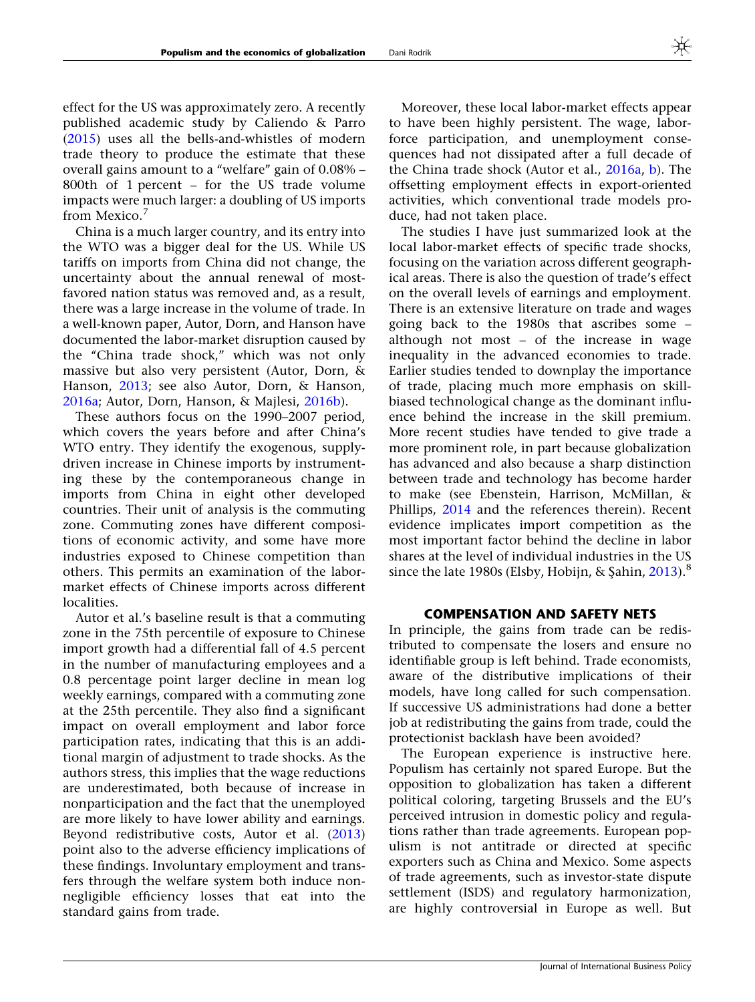<span id="page-4-0"></span>effect for the US was approximately zero. A recently published academic study by Caliendo & Parro [\(2015](#page-19-0)) uses all the bells-and-whistles of modern trade theory to produce the estimate that these overall gains amount to a ''welfare'' gain of 0.08% – 800th of 1 percent – for the US trade volume impacts were much larger: a doubling of US imports from Mexico.<sup>7</sup>

China is a much larger country, and its entry into the WTO was a bigger deal for the US. While US tariffs on imports from China did not change, the uncertainty about the annual renewal of mostfavored nation status was removed and, as a result, there was a large increase in the volume of trade. In a well-known paper, Autor, Dorn, and Hanson have documented the labor-market disruption caused by the ''China trade shock,'' which was not only massive but also very persistent (Autor, Dorn, & Hanson, [2013](#page-18-0); see also Autor, Dorn, & Hanson, [2016a;](#page-18-0) Autor, Dorn, Hanson, & Majlesi, [2016b\)](#page-18-0).

These authors focus on the 1990–2007 period, which covers the years before and after China's WTO entry. They identify the exogenous, supplydriven increase in Chinese imports by instrumenting these by the contemporaneous change in imports from China in eight other developed countries. Their unit of analysis is the commuting zone. Commuting zones have different compositions of economic activity, and some have more industries exposed to Chinese competition than others. This permits an examination of the labormarket effects of Chinese imports across different localities.

Autor et al.'s baseline result is that a commuting zone in the 75th percentile of exposure to Chinese import growth had a differential fall of 4.5 percent in the number of manufacturing employees and a 0.8 percentage point larger decline in mean log weekly earnings, compared with a commuting zone at the 25th percentile. They also find a significant impact on overall employment and labor force participation rates, indicating that this is an additional margin of adjustment to trade shocks. As the authors stress, this implies that the wage reductions are underestimated, both because of increase in nonparticipation and the fact that the unemployed are more likely to have lower ability and earnings. Beyond redistributive costs, Autor et al. ([2013\)](#page-18-0) point also to the adverse efficiency implications of these findings. Involuntary employment and transfers through the welfare system both induce nonnegligible efficiency losses that eat into the standard gains from trade.

Moreover, these local labor-market effects appear to have been highly persistent. The wage, laborforce participation, and unemployment consequences had not dissipated after a full decade of the China trade shock (Autor et al., [2016a](#page-18-0), [b](#page-18-0)). The offsetting employment effects in export-oriented activities, which conventional trade models produce, had not taken place.

The studies I have just summarized look at the local labor-market effects of specific trade shocks, focusing on the variation across different geographical areas. There is also the question of trade's effect on the overall levels of earnings and employment. There is an extensive literature on trade and wages going back to the 1980s that ascribes some – although not most – of the increase in wage inequality in the advanced economies to trade. Earlier studies tended to downplay the importance of trade, placing much more emphasis on skillbiased technological change as the dominant influence behind the increase in the skill premium. More recent studies have tended to give trade a more prominent role, in part because globalization has advanced and also because a sharp distinction between trade and technology has become harder to make (see Ebenstein, Harrison, McMillan, & Phillips, [2014](#page-19-0) and the references therein). Recent evidence implicates import competition as the most important factor behind the decline in labor shares at the level of individual industries in the US since the late 1980s (Elsby, Hobijn, & Şahin,  $2013$ ).<sup>8</sup>

### COMPENSATION AND SAFETY NETS

In principle, the gains from trade can be redistributed to compensate the losers and ensure no identifiable group is left behind. Trade economists, aware of the distributive implications of their models, have long called for such compensation. If successive US administrations had done a better job at redistributing the gains from trade, could the protectionist backlash have been avoided?

The European experience is instructive here. Populism has certainly not spared Europe. But the opposition to globalization has taken a different political coloring, targeting Brussels and the EU's perceived intrusion in domestic policy and regulations rather than trade agreements. European populism is not antitrade or directed at specific exporters such as China and Mexico. Some aspects of trade agreements, such as investor-state dispute settlement (ISDS) and regulatory harmonization, are highly controversial in Europe as well. But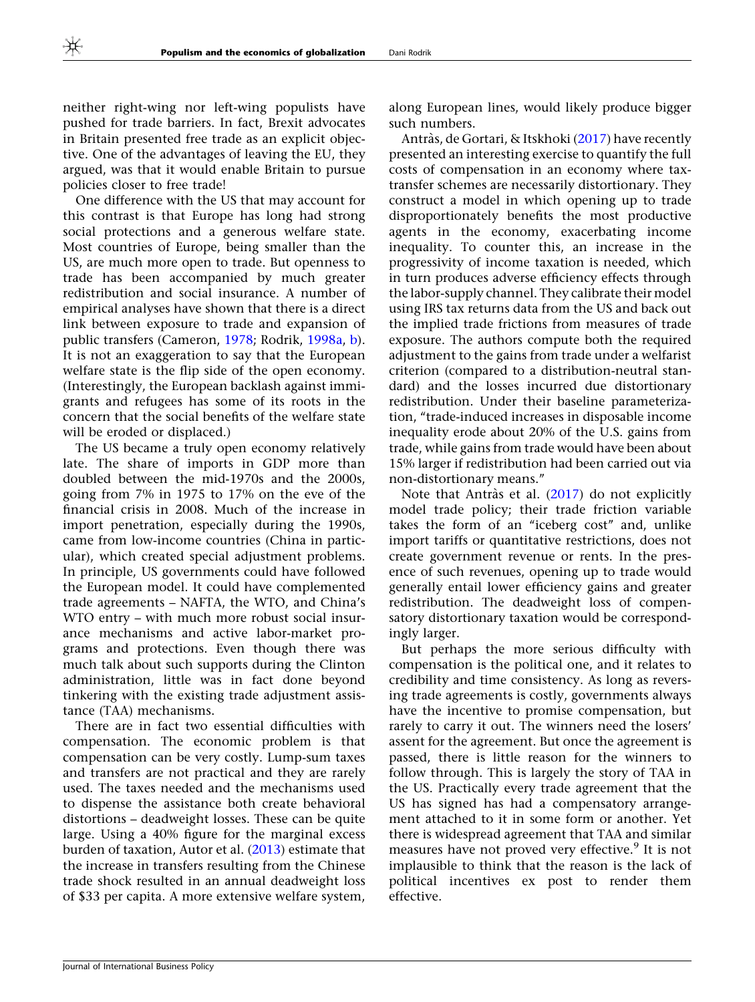neither right-wing nor left-wing populists have pushed for trade barriers. In fact, Brexit advocates in Britain presented free trade as an explicit objective. One of the advantages of leaving the EU, they argued, was that it would enable Britain to pursue policies closer to free trade!

One difference with the US that may account for this contrast is that Europe has long had strong social protections and a generous welfare state. Most countries of Europe, being smaller than the US, are much more open to trade. But openness to trade has been accompanied by much greater redistribution and social insurance. A number of empirical analyses have shown that there is a direct link between exposure to trade and expansion of public transfers (Cameron, [1978;](#page-19-0) Rodrik, [1998a](#page-20-0), [b\)](#page-20-0). It is not an exaggeration to say that the European welfare state is the flip side of the open economy. (Interestingly, the European backlash against immigrants and refugees has some of its roots in the concern that the social benefits of the welfare state will be eroded or displaced.)

The US became a truly open economy relatively late. The share of imports in GDP more than doubled between the mid-1970s and the 2000s, going from 7% in 1975 to 17% on the eve of the financial crisis in 2008. Much of the increase in import penetration, especially during the 1990s, came from low-income countries (China in particular), which created special adjustment problems. In principle, US governments could have followed the European model. It could have complemented trade agreements – NAFTA, the WTO, and China's WTO entry – with much more robust social insurance mechanisms and active labor-market programs and protections. Even though there was much talk about such supports during the Clinton administration, little was in fact done beyond tinkering with the existing trade adjustment assistance (TAA) mechanisms.

There are in fact two essential difficulties with compensation. The economic problem is that compensation can be very costly. Lump-sum taxes and transfers are not practical and they are rarely used. The taxes needed and the mechanisms used to dispense the assistance both create behavioral distortions – deadweight losses. These can be quite large. Using a 40% figure for the marginal excess burden of taxation, Autor et al. ([2013\)](#page-18-0) estimate that the increase in transfers resulting from the Chinese trade shock resulted in an annual deadweight loss of \$33 per capita. A more extensive welfare system,

along European lines, would likely produce bigger such numbers.

Antràs, de Gortari, & Itskhoki ([2017\)](#page-18-0) have recently presented an interesting exercise to quantify the full costs of compensation in an economy where taxtransfer schemes are necessarily distortionary. They construct a model in which opening up to trade disproportionately benefits the most productive agents in the economy, exacerbating income inequality. To counter this, an increase in the progressivity of income taxation is needed, which in turn produces adverse efficiency effects through the labor-supply channel. They calibrate their model using IRS tax returns data from the US and back out the implied trade frictions from measures of trade exposure. The authors compute both the required adjustment to the gains from trade under a welfarist criterion (compared to a distribution-neutral standard) and the losses incurred due distortionary redistribution. Under their baseline parameterization, ''trade-induced increases in disposable income inequality erode about 20% of the U.S. gains from trade, while gains from trade would have been about 15% larger if redistribution had been carried out via non-distortionary means.''

Note that Antràs et al. [\(2017](#page-18-0)) do not explicitly model trade policy; their trade friction variable takes the form of an "iceberg cost" and, unlike import tariffs or quantitative restrictions, does not create government revenue or rents. In the presence of such revenues, opening up to trade would generally entail lower efficiency gains and greater redistribution. The deadweight loss of compensatory distortionary taxation would be correspondingly larger.

But perhaps the more serious difficulty with compensation is the political one, and it relates to credibility and time consistency. As long as reversing trade agreements is costly, governments always have the incentive to promise compensation, but rarely to carry it out. The winners need the losers' assent for the agreement. But once the agreement is passed, there is little reason for the winners to follow through. This is largely the story of TAA in the US. Practically every trade agreement that the US has signed has had a compensatory arrangement attached to it in some form or another. Yet there is widespread agreement that TAA and similar measures have not proved very effective.<sup>9</sup> It is not implausible to think that the reason is the lack of political incentives ex post to render them effective.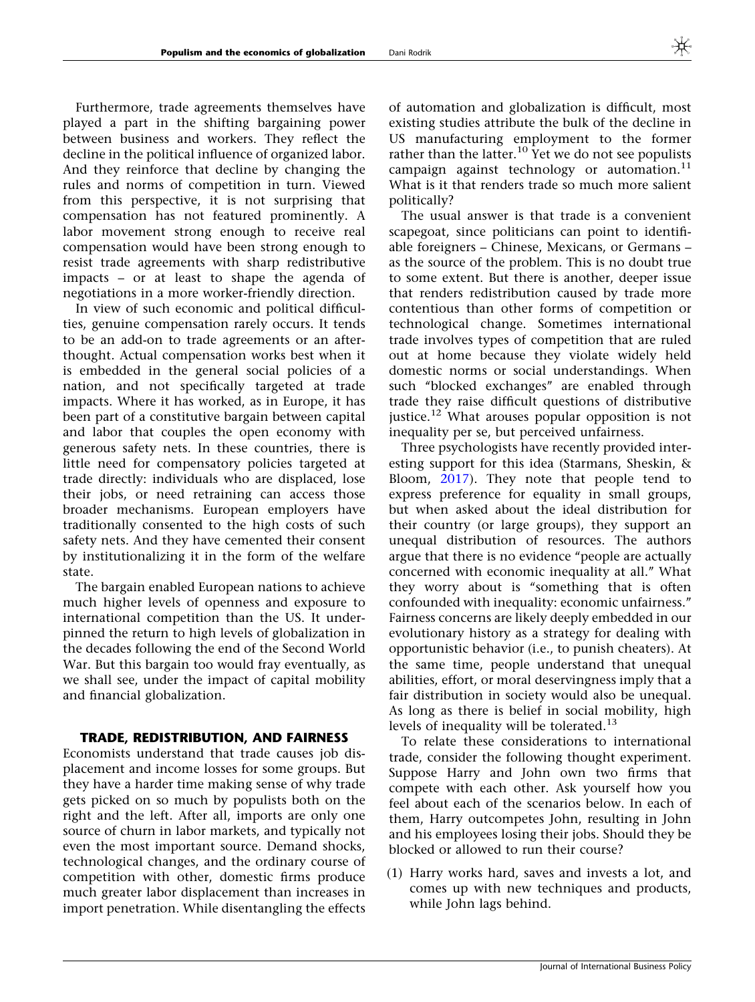<span id="page-6-0"></span>Furthermore, trade agreements themselves have played a part in the shifting bargaining power between business and workers. They reflect the decline in the political influence of organized labor. And they reinforce that decline by changing the rules and norms of competition in turn. Viewed from this perspective, it is not surprising that compensation has not featured prominently. A labor movement strong enough to receive real compensation would have been strong enough to resist trade agreements with sharp redistributive impacts – or at least to shape the agenda of negotiations in a more worker-friendly direction.

In view of such economic and political difficulties, genuine compensation rarely occurs. It tends to be an add-on to trade agreements or an afterthought. Actual compensation works best when it is embedded in the general social policies of a nation, and not specifically targeted at trade impacts. Where it has worked, as in Europe, it has been part of a constitutive bargain between capital and labor that couples the open economy with generous safety nets. In these countries, there is little need for compensatory policies targeted at trade directly: individuals who are displaced, lose their jobs, or need retraining can access those broader mechanisms. European employers have traditionally consented to the high costs of such safety nets. And they have cemented their consent by institutionalizing it in the form of the welfare state.

The bargain enabled European nations to achieve much higher levels of openness and exposure to international competition than the US. It underpinned the return to high levels of globalization in the decades following the end of the Second World War. But this bargain too would fray eventually, as we shall see, under the impact of capital mobility and financial globalization.

# TRADE, REDISTRIBUTION, AND FAIRNESS

Economists understand that trade causes job displacement and income losses for some groups. But they have a harder time making sense of why trade gets picked on so much by populists both on the right and the left. After all, imports are only one source of churn in labor markets, and typically not even the most important source. Demand shocks, technological changes, and the ordinary course of competition with other, domestic firms produce much greater labor displacement than increases in import penetration. While disentangling the effects

of automation and globalization is difficult, most existing studies attribute the bulk of the decline in US manufacturing employment to the former rather than the latter.<sup>10</sup> Yet we do not see populists campaign against technology or automation.<sup>11</sup> What is it that renders trade so much more salient politically?

The usual answer is that trade is a convenient scapegoat, since politicians can point to identifiable foreigners – Chinese, Mexicans, or Germans – as the source of the problem. This is no doubt true to some extent. But there is another, deeper issue that renders redistribution caused by trade more contentious than other forms of competition or technological change. Sometimes international trade involves types of competition that are ruled out at home because they violate widely held domestic norms or social understandings. When such ''blocked exchanges'' are enabled through trade they raise difficult questions of distributive justice.<sup>12</sup> What arouses popular opposition is not inequality per se, but perceived unfairness.

Three psychologists have recently provided interesting support for this idea (Starmans, Sheskin, & Bloom, [2017](#page-20-0)). They note that people tend to express preference for equality in small groups, but when asked about the ideal distribution for their country (or large groups), they support an unequal distribution of resources. The authors argue that there is no evidence ''people are actually concerned with economic inequality at all.'' What they worry about is "something that is often confounded with inequality: economic unfairness.'' Fairness concerns are likely deeply embedded in our evolutionary history as a strategy for dealing with opportunistic behavior (i.e., to punish cheaters). At the same time, people understand that unequal abilities, effort, or moral deservingness imply that a fair distribution in society would also be unequal. As long as there is belief in social mobility, high levels of inequality will be tolerated.<sup>13</sup>

To relate these considerations to international trade, consider the following thought experiment. Suppose Harry and John own two firms that compete with each other. Ask yourself how you feel about each of the scenarios below. In each of them, Harry outcompetes John, resulting in John and his employees losing their jobs. Should they be blocked or allowed to run their course?

(1) Harry works hard, saves and invests a lot, and comes up with new techniques and products, while John lags behind.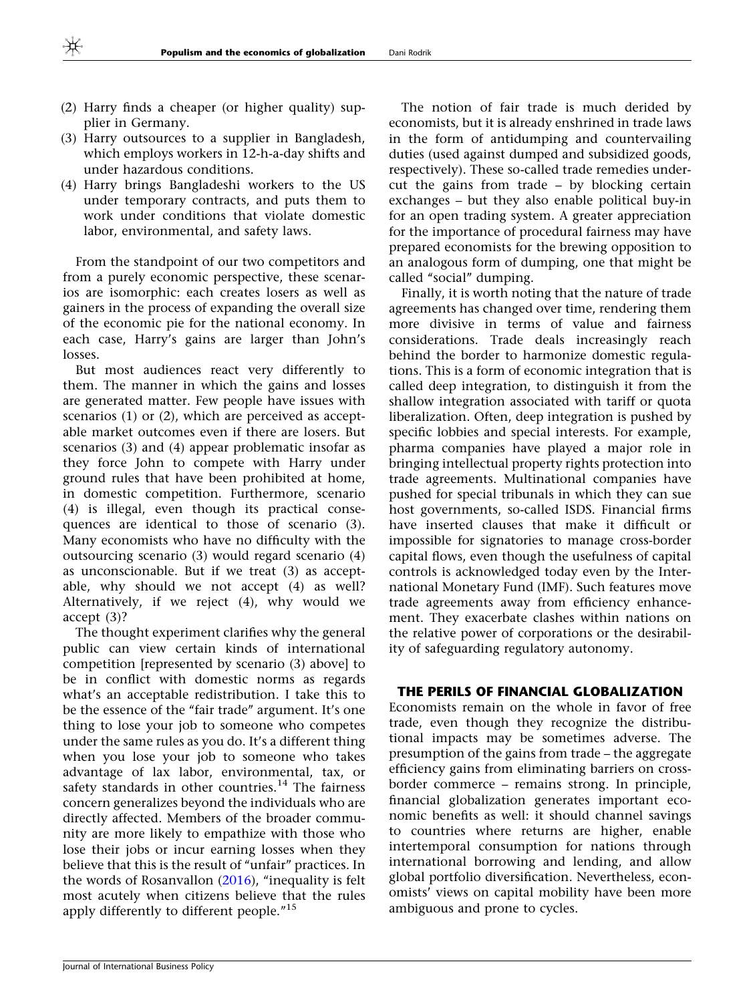- <span id="page-7-0"></span>(3) Harry outsources to a supplier in Bangladesh, which employs workers in 12-h-a-day shifts and under hazardous conditions.
- (4) Harry brings Bangladeshi workers to the US under temporary contracts, and puts them to work under conditions that violate domestic labor, environmental, and safety laws.

From the standpoint of our two competitors and from a purely economic perspective, these scenarios are isomorphic: each creates losers as well as gainers in the process of expanding the overall size of the economic pie for the national economy. In each case, Harry's gains are larger than John's losses.

But most audiences react very differently to them. The manner in which the gains and losses are generated matter. Few people have issues with scenarios (1) or (2), which are perceived as acceptable market outcomes even if there are losers. But scenarios (3) and (4) appear problematic insofar as they force John to compete with Harry under ground rules that have been prohibited at home, in domestic competition. Furthermore, scenario (4) is illegal, even though its practical consequences are identical to those of scenario (3). Many economists who have no difficulty with the outsourcing scenario (3) would regard scenario (4) as unconscionable. But if we treat (3) as acceptable, why should we not accept (4) as well? Alternatively, if we reject (4), why would we accept (3)?

The thought experiment clarifies why the general public can view certain kinds of international competition [represented by scenario (3) above] to be in conflict with domestic norms as regards what's an acceptable redistribution. I take this to be the essence of the "fair trade" argument. It's one thing to lose your job to someone who competes under the same rules as you do. It's a different thing when you lose your job to someone who takes advantage of lax labor, environmental, tax, or safety standards in other countries. $14$  The fairness concern generalizes beyond the individuals who are directly affected. Members of the broader community are more likely to empathize with those who lose their jobs or incur earning losses when they believe that this is the result of "unfair" practices. In the words of Rosanvallon  $(2016)$  $(2016)$ , "inequality is felt most acutely when citizens believe that the rules apply differently to different people."<sup>15</sup>

The notion of fair trade is much derided by economists, but it is already enshrined in trade laws in the form of antidumping and countervailing duties (used against dumped and subsidized goods, respectively). These so-called trade remedies undercut the gains from trade – by blocking certain exchanges – but they also enable political buy-in for an open trading system. A greater appreciation for the importance of procedural fairness may have prepared economists for the brewing opposition to an analogous form of dumping, one that might be called "social" dumping.

Finally, it is worth noting that the nature of trade agreements has changed over time, rendering them more divisive in terms of value and fairness considerations. Trade deals increasingly reach behind the border to harmonize domestic regulations. This is a form of economic integration that is called deep integration, to distinguish it from the shallow integration associated with tariff or quota liberalization. Often, deep integration is pushed by specific lobbies and special interests. For example, pharma companies have played a major role in bringing intellectual property rights protection into trade agreements. Multinational companies have pushed for special tribunals in which they can sue host governments, so-called ISDS. Financial firms have inserted clauses that make it difficult or impossible for signatories to manage cross-border capital flows, even though the usefulness of capital controls is acknowledged today even by the International Monetary Fund (IMF). Such features move trade agreements away from efficiency enhancement. They exacerbate clashes within nations on the relative power of corporations or the desirability of safeguarding regulatory autonomy.

## THE PERILS OF FINANCIAL GLOBALIZATION

Economists remain on the whole in favor of free trade, even though they recognize the distributional impacts may be sometimes adverse. The presumption of the gains from trade – the aggregate efficiency gains from eliminating barriers on crossborder commerce – remains strong. In principle, financial globalization generates important economic benefits as well: it should channel savings to countries where returns are higher, enable intertemporal consumption for nations through international borrowing and lending, and allow global portfolio diversification. Nevertheless, economists' views on capital mobility have been more ambiguous and prone to cycles.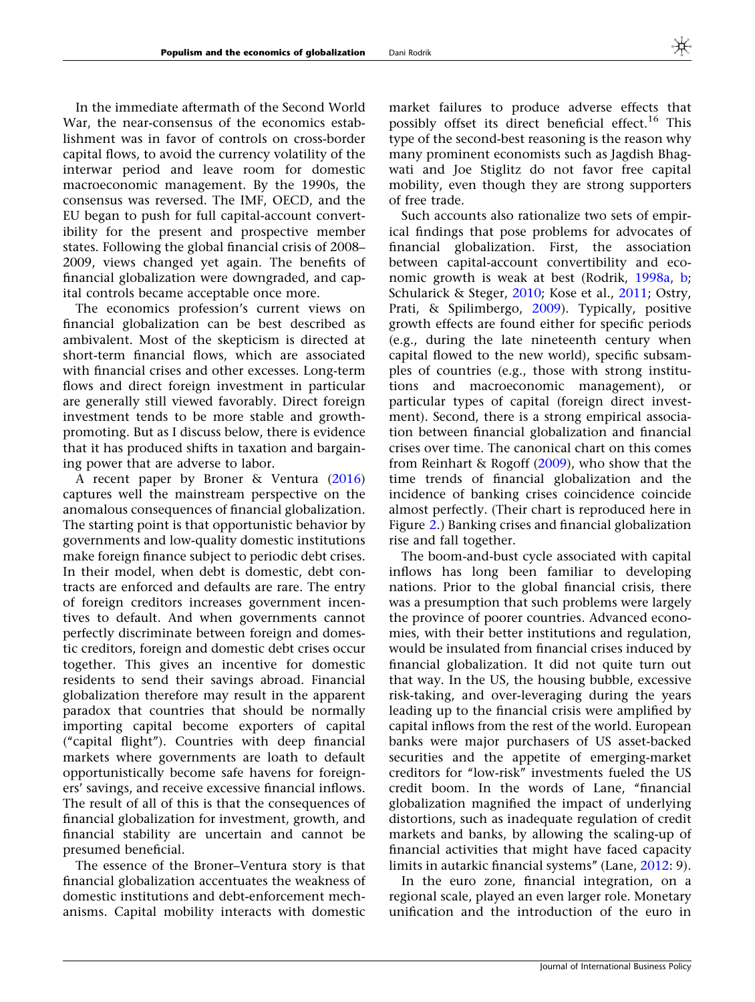In the immediate aftermath of the Second World War, the near-consensus of the economics establishment was in favor of controls on cross-border capital flows, to avoid the currency volatility of the interwar period and leave room for domestic macroeconomic management. By the 1990s, the consensus was reversed. The IMF, OECD, and the EU began to push for full capital-account convertibility for the present and prospective member states. Following the global financial crisis of 2008– 2009, views changed yet again. The benefits of financial globalization were downgraded, and capital controls became acceptable once more.

The economics profession's current views on financial globalization can be best described as ambivalent. Most of the skepticism is directed at short-term financial flows, which are associated with financial crises and other excesses. Long-term flows and direct foreign investment in particular are generally still viewed favorably. Direct foreign investment tends to be more stable and growthpromoting. But as I discuss below, there is evidence that it has produced shifts in taxation and bargaining power that are adverse to labor.

A recent paper by Broner & Ventura ([2016\)](#page-19-0) captures well the mainstream perspective on the anomalous consequences of financial globalization. The starting point is that opportunistic behavior by governments and low-quality domestic institutions make foreign finance subject to periodic debt crises. In their model, when debt is domestic, debt contracts are enforced and defaults are rare. The entry of foreign creditors increases government incentives to default. And when governments cannot perfectly discriminate between foreign and domestic creditors, foreign and domestic debt crises occur together. This gives an incentive for domestic residents to send their savings abroad. Financial globalization therefore may result in the apparent paradox that countries that should be normally importing capital become exporters of capital (''capital flight''). Countries with deep financial markets where governments are loath to default opportunistically become safe havens for foreigners' savings, and receive excessive financial inflows. The result of all of this is that the consequences of financial globalization for investment, growth, and financial stability are uncertain and cannot be presumed beneficial.

The essence of the Broner–Ventura story is that financial globalization accentuates the weakness of domestic institutions and debt-enforcement mechanisms. Capital mobility interacts with domestic market failures to produce adverse effects that possibly offset its direct beneficial effect.<sup>16</sup> This type of the second-best reasoning is the reason why many prominent economists such as Jagdish Bhagwati and Joe Stiglitz do not favor free capital mobility, even though they are strong supporters of free trade.

Such accounts also rationalize two sets of empirical findings that pose problems for advocates of financial globalization. First, the association between capital-account convertibility and economic growth is weak at best (Rodrik, [1998a,](#page-20-0) [b;](#page-20-0) Schularick & Steger, [2010](#page-20-0); Kose et al., [2011](#page-19-0); Ostry, Prati, & Spilimbergo, [2009\)](#page-19-0). Typically, positive growth effects are found either for specific periods (e.g., during the late nineteenth century when capital flowed to the new world), specific subsamples of countries (e.g., those with strong institutions and macroeconomic management), or particular types of capital (foreign direct investment). Second, there is a strong empirical association between financial globalization and financial crises over time. The canonical chart on this comes from Reinhart & Rogoff ([2009](#page-20-0)), who show that the time trends of financial globalization and the incidence of banking crises coincidence coincide almost perfectly. (Their chart is reproduced here in Figure [2.](#page-9-0)) Banking crises and financial globalization rise and fall together.

The boom-and-bust cycle associated with capital inflows has long been familiar to developing nations. Prior to the global financial crisis, there was a presumption that such problems were largely the province of poorer countries. Advanced economies, with their better institutions and regulation, would be insulated from financial crises induced by financial globalization. It did not quite turn out that way. In the US, the housing bubble, excessive risk-taking, and over-leveraging during the years leading up to the financial crisis were amplified by capital inflows from the rest of the world. European banks were major purchasers of US asset-backed securities and the appetite of emerging-market creditors for ''low-risk'' investments fueled the US credit boom. In the words of Lane, ''financial globalization magnified the impact of underlying distortions, such as inadequate regulation of credit markets and banks, by allowing the scaling-up of financial activities that might have faced capacity limits in autarkic financial systems'' (Lane, [2012](#page-19-0): 9).

In the euro zone, financial integration, on a regional scale, played an even larger role. Monetary unification and the introduction of the euro in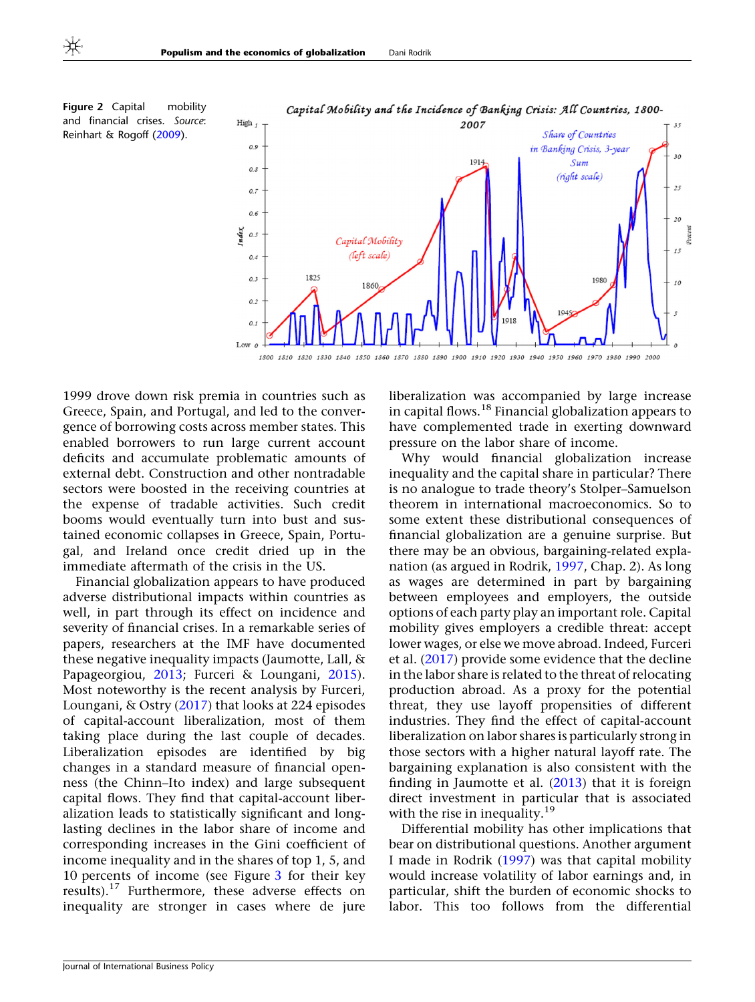<span id="page-9-0"></span>Figure 2 Capital mobility and financial crises. Source: Reinhart & Rogoff [\(2009\)](#page-20-0).



1800 1840 1850 1860 1870 1880 1890 1900 1910 1920 1930 1940 1950 1960 1970 1980 1990 2000

1999 drove down risk premia in countries such as Greece, Spain, and Portugal, and led to the convergence of borrowing costs across member states. This enabled borrowers to run large current account deficits and accumulate problematic amounts of external debt. Construction and other nontradable sectors were boosted in the receiving countries at the expense of tradable activities. Such credit booms would eventually turn into bust and sustained economic collapses in Greece, Spain, Portugal, and Ireland once credit dried up in the immediate aftermath of the crisis in the US.

Financial globalization appears to have produced adverse distributional impacts within countries as well, in part through its effect on incidence and severity of financial crises. In a remarkable series of papers, researchers at the IMF have documented these negative inequality impacts (Jaumotte, Lall, & Papageorgiou, [2013](#page-19-0); Furceri & Loungani, [2015\)](#page-19-0). Most noteworthy is the recent analysis by Furceri, Loungani, & Ostry [\(2017](#page-19-0)) that looks at 224 episodes of capital-account liberalization, most of them taking place during the last couple of decades. Liberalization episodes are identified by big changes in a standard measure of financial openness (the Chinn–Ito index) and large subsequent capital flows. They find that capital-account liberalization leads to statistically significant and longlasting declines in the labor share of income and corresponding increases in the Gini coefficient of income inequality and in the shares of top 1, 5, and 10 percents of income (see Figure [3](#page-10-0) for their key results).<sup>17</sup> Furthermore, these adverse effects on inequality are stronger in cases where de jure

liberalization was accompanied by large increase in capital flows.<sup>18</sup> Financial globalization appears to have complemented trade in exerting downward pressure on the labor share of income.

Why would financial globalization increase inequality and the capital share in particular? There is no analogue to trade theory's Stolper–Samuelson theorem in international macroeconomics. So to some extent these distributional consequences of financial globalization are a genuine surprise. But there may be an obvious, bargaining-related explanation (as argued in Rodrik, [1997,](#page-20-0) Chap. 2). As long as wages are determined in part by bargaining between employees and employers, the outside options of each party play an important role. Capital mobility gives employers a credible threat: accept lower wages, or else we move abroad. Indeed, Furceri et al. [\(2017](#page-19-0)) provide some evidence that the decline in the labor share is related to the threat of relocating production abroad. As a proxy for the potential threat, they use layoff propensities of different industries. They find the effect of capital-account liberalization on labor shares is particularly strong in those sectors with a higher natural layoff rate. The bargaining explanation is also consistent with the finding in Jaumotte et al. ([2013\)](#page-19-0) that it is foreign direct investment in particular that is associated with the rise in inequality.<sup>19</sup>

Differential mobility has other implications that bear on distributional questions. Another argument I made in Rodrik [\(1997\)](#page-20-0) was that capital mobility would increase volatility of labor earnings and, in particular, shift the burden of economic shocks to labor. This too follows from the differential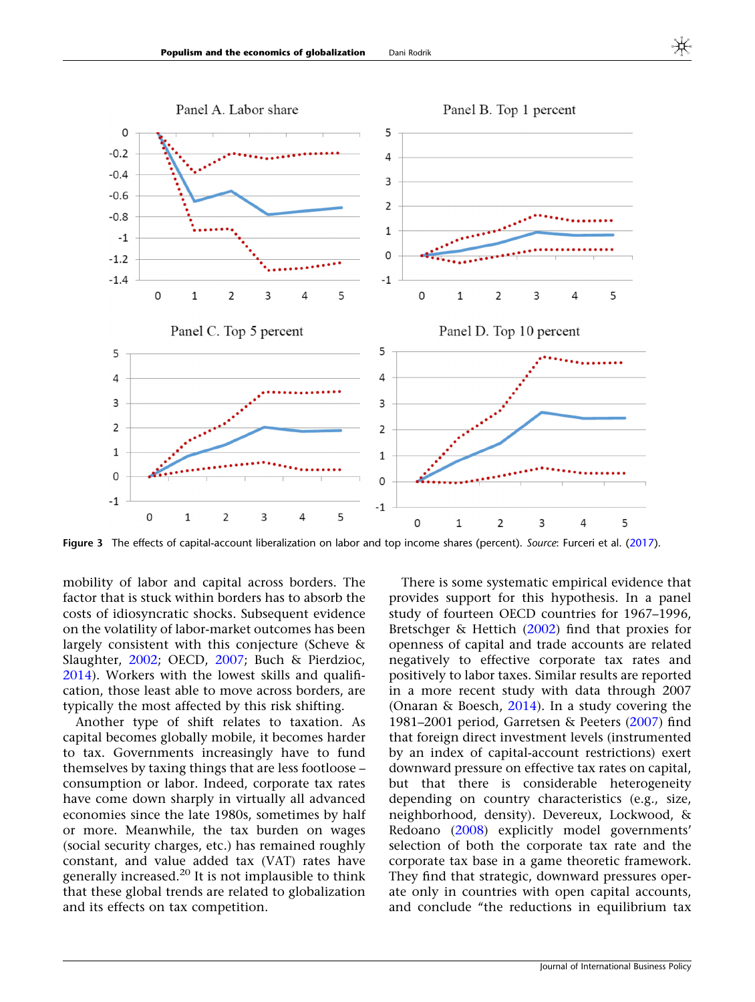

<span id="page-10-0"></span>

Figure 3 The effects of capital-account liberalization on labor and top income shares (percent). Source: Furceri et al. ([2017](#page-19-0)).

mobility of labor and capital across borders. The factor that is stuck within borders has to absorb the costs of idiosyncratic shocks. Subsequent evidence on the volatility of labor-market outcomes has been largely consistent with this conjecture (Scheve & Slaughter, [2002](#page-20-0); OECD, [2007;](#page-19-0) Buch & Pierdzioc, [2014\)](#page-19-0). Workers with the lowest skills and qualification, those least able to move across borders, are typically the most affected by this risk shifting.

Another type of shift relates to taxation. As capital becomes globally mobile, it becomes harder to tax. Governments increasingly have to fund themselves by taxing things that are less footloose – consumption or labor. Indeed, corporate tax rates have come down sharply in virtually all advanced economies since the late 1980s, sometimes by half or more. Meanwhile, the tax burden on wages (social security charges, etc.) has remained roughly constant, and value added tax (VAT) rates have generally increased.<sup>20</sup> It is not implausible to think that these global trends are related to globalization and its effects on tax competition.

There is some systematic empirical evidence that provides support for this hypothesis. In a panel study of fourteen OECD countries for 1967–1996, Bretschger & Hettich ([2002\)](#page-19-0) find that proxies for openness of capital and trade accounts are related negatively to effective corporate tax rates and positively to labor taxes. Similar results are reported in a more recent study with data through 2007 (Onaran & Boesch, [2014\)](#page-19-0). In a study covering the 1981–2001 period, Garretsen & Peeters ([2007\)](#page-19-0) find that foreign direct investment levels (instrumented by an index of capital-account restrictions) exert downward pressure on effective tax rates on capital, but that there is considerable heterogeneity depending on country characteristics (e.g., size, neighborhood, density). Devereux, Lockwood, & Redoano [\(2008\)](#page-19-0) explicitly model governments' selection of both the corporate tax rate and the corporate tax base in a game theoretic framework. They find that strategic, downward pressures operate only in countries with open capital accounts, and conclude ''the reductions in equilibrium tax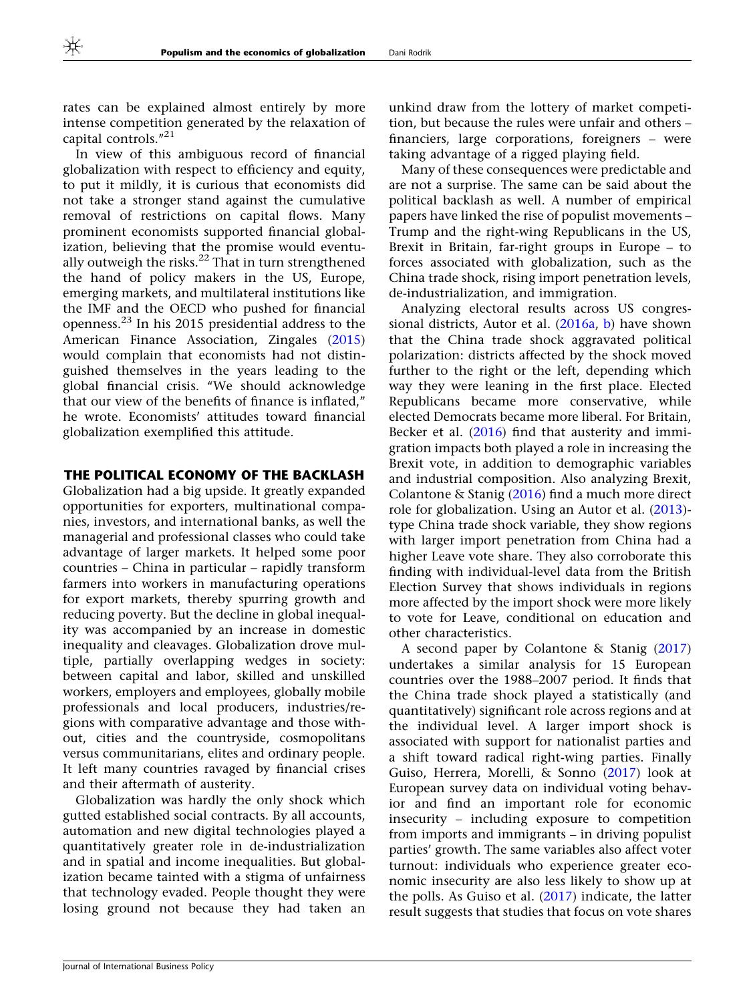<span id="page-11-0"></span>rates can be explained almost entirely by more intense competition generated by the relaxation of capital controls."<sup>21</sup>

In view of this ambiguous record of financial globalization with respect to efficiency and equity, to put it mildly, it is curious that economists did not take a stronger stand against the cumulative removal of restrictions on capital flows. Many prominent economists supported financial globalization, believing that the promise would eventually outweigh the risks. $^{22}$  That in turn strengthened the hand of policy makers in the US, Europe, emerging markets, and multilateral institutions like the IMF and the OECD who pushed for financial openness.<sup>23</sup> In his 2015 presidential address to the American Finance Association, Zingales ([2015\)](#page-20-0) would complain that economists had not distinguished themselves in the years leading to the global financial crisis. ''We should acknowledge that our view of the benefits of finance is inflated,'' he wrote. Economists' attitudes toward financial globalization exemplified this attitude.

# THE POLITICAL ECONOMY OF THE BACKLASH

Globalization had a big upside. It greatly expanded opportunities for exporters, multinational companies, investors, and international banks, as well the managerial and professional classes who could take advantage of larger markets. It helped some poor countries – China in particular – rapidly transform farmers into workers in manufacturing operations for export markets, thereby spurring growth and reducing poverty. But the decline in global inequality was accompanied by an increase in domestic inequality and cleavages. Globalization drove multiple, partially overlapping wedges in society: between capital and labor, skilled and unskilled workers, employers and employees, globally mobile professionals and local producers, industries/regions with comparative advantage and those without, cities and the countryside, cosmopolitans versus communitarians, elites and ordinary people. It left many countries ravaged by financial crises and their aftermath of austerity.

Globalization was hardly the only shock which gutted established social contracts. By all accounts, automation and new digital technologies played a quantitatively greater role in de-industrialization and in spatial and income inequalities. But globalization became tainted with a stigma of unfairness that technology evaded. People thought they were losing ground not because they had taken an

unkind draw from the lottery of market competition, but because the rules were unfair and others – financiers, large corporations, foreigners – were taking advantage of a rigged playing field.

Many of these consequences were predictable and are not a surprise. The same can be said about the political backlash as well. A number of empirical papers have linked the rise of populist movements – Trump and the right-wing Republicans in the US, Brexit in Britain, far-right groups in Europe – to forces associated with globalization, such as the China trade shock, rising import penetration levels, de-industrialization, and immigration.

Analyzing electoral results across US congressional districts, Autor et al. ([2016a,](#page-18-0) [b\)](#page-18-0) have shown that the China trade shock aggravated political polarization: districts affected by the shock moved further to the right or the left, depending which way they were leaning in the first place. Elected Republicans became more conservative, while elected Democrats became more liberal. For Britain, Becker et al. [\(2016](#page-19-0)) find that austerity and immigration impacts both played a role in increasing the Brexit vote, in addition to demographic variables and industrial composition. Also analyzing Brexit, Colantone & Stanig ([2016](#page-19-0)) find a much more direct role for globalization. Using an Autor et al. ([2013\)](#page-18-0) type China trade shock variable, they show regions with larger import penetration from China had a higher Leave vote share. They also corroborate this finding with individual-level data from the British Election Survey that shows individuals in regions more affected by the import shock were more likely to vote for Leave, conditional on education and other characteristics.

A second paper by Colantone & Stanig [\(2017](#page-19-0)) undertakes a similar analysis for 15 European countries over the 1988–2007 period. It finds that the China trade shock played a statistically (and quantitatively) significant role across regions and at the individual level. A larger import shock is associated with support for nationalist parties and a shift toward radical right-wing parties. Finally Guiso, Herrera, Morelli, & Sonno [\(2017](#page-19-0)) look at European survey data on individual voting behavior and find an important role for economic insecurity – including exposure to competition from imports and immigrants – in driving populist parties' growth. The same variables also affect voter turnout: individuals who experience greater economic insecurity are also less likely to show up at the polls. As Guiso et al. ([2017\)](#page-19-0) indicate, the latter result suggests that studies that focus on vote shares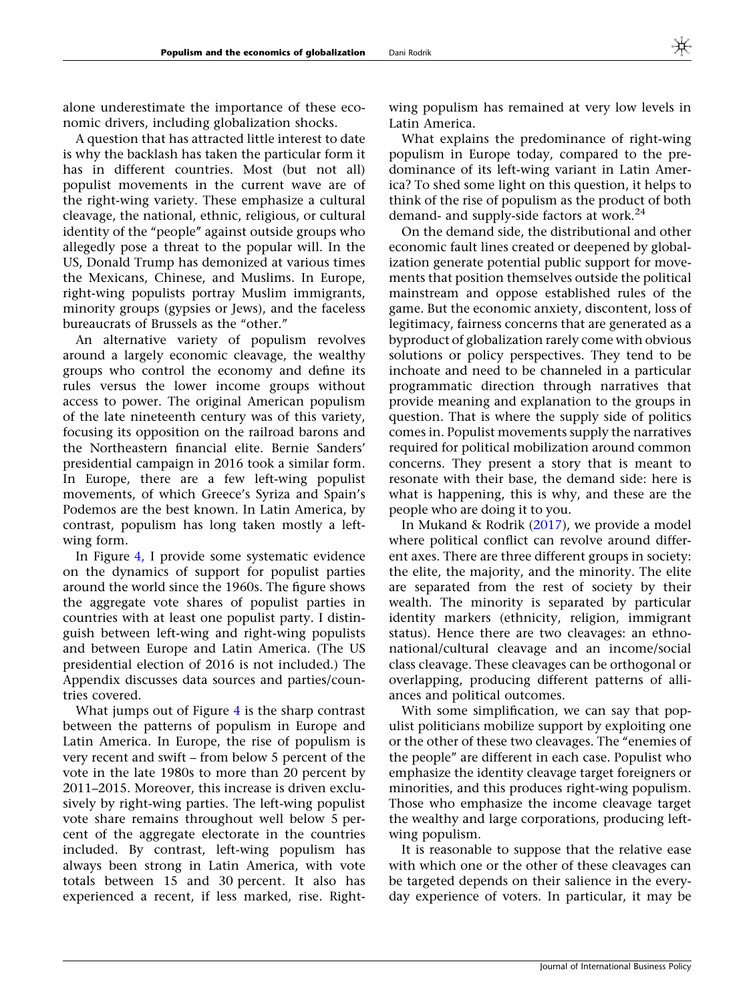alone underestimate the importance of these economic drivers, including globalization shocks.

A question that has attracted little interest to date is why the backlash has taken the particular form it has in different countries. Most (but not all) populist movements in the current wave are of the right-wing variety. These emphasize a cultural cleavage, the national, ethnic, religious, or cultural identity of the "people" against outside groups who allegedly pose a threat to the popular will. In the US, Donald Trump has demonized at various times the Mexicans, Chinese, and Muslims. In Europe, right-wing populists portray Muslim immigrants, minority groups (gypsies or Jews), and the faceless bureaucrats of Brussels as the ''other.''

An alternative variety of populism revolves around a largely economic cleavage, the wealthy groups who control the economy and define its rules versus the lower income groups without access to power. The original American populism of the late nineteenth century was of this variety, focusing its opposition on the railroad barons and the Northeastern financial elite. Bernie Sanders' presidential campaign in 2016 took a similar form. In Europe, there are a few left-wing populist movements, of which Greece's Syriza and Spain's Podemos are the best known. In Latin America, by contrast, populism has long taken mostly a leftwing form.

In Figure [4,](#page-13-0) I provide some systematic evidence on the dynamics of support for populist parties around the world since the 1960s. The figure shows the aggregate vote shares of populist parties in countries with at least one populist party. I distinguish between left-wing and right-wing populists and between Europe and Latin America. (The US presidential election of 2016 is not included.) The Appendix discusses data sources and parties/countries covered.

What jumps out of Figure [4](#page-13-0) is the sharp contrast between the patterns of populism in Europe and Latin America. In Europe, the rise of populism is very recent and swift – from below 5 percent of the vote in the late 1980s to more than 20 percent by 2011–2015. Moreover, this increase is driven exclusively by right-wing parties. The left-wing populist vote share remains throughout well below 5 percent of the aggregate electorate in the countries included. By contrast, left-wing populism has always been strong in Latin America, with vote totals between 15 and 30 percent. It also has experienced a recent, if less marked, rise. Rightwing populism has remained at very low levels in Latin America.

What explains the predominance of right-wing populism in Europe today, compared to the predominance of its left-wing variant in Latin America? To shed some light on this question, it helps to think of the rise of populism as the product of both demand- and supply-side factors at work.<sup>24</sup>

On the demand side, the distributional and other economic fault lines created or deepened by globalization generate potential public support for movements that position themselves outside the political mainstream and oppose established rules of the game. But the economic anxiety, discontent, loss of legitimacy, fairness concerns that are generated as a byproduct of globalization rarely come with obvious solutions or policy perspectives. They tend to be inchoate and need to be channeled in a particular programmatic direction through narratives that provide meaning and explanation to the groups in question. That is where the supply side of politics comes in. Populist movements supply the narratives required for political mobilization around common concerns. They present a story that is meant to resonate with their base, the demand side: here is what is happening, this is why, and these are the people who are doing it to you.

In Mukand & Rodrik ([2017\)](#page-19-0), we provide a model where political conflict can revolve around different axes. There are three different groups in society: the elite, the majority, and the minority. The elite are separated from the rest of society by their wealth. The minority is separated by particular identity markers (ethnicity, religion, immigrant status). Hence there are two cleavages: an ethnonational/cultural cleavage and an income/social class cleavage. These cleavages can be orthogonal or overlapping, producing different patterns of alliances and political outcomes.

With some simplification, we can say that populist politicians mobilize support by exploiting one or the other of these two cleavages. The ''enemies of the people'' are different in each case. Populist who emphasize the identity cleavage target foreigners or minorities, and this produces right-wing populism. Those who emphasize the income cleavage target the wealthy and large corporations, producing leftwing populism.

It is reasonable to suppose that the relative ease with which one or the other of these cleavages can be targeted depends on their salience in the everyday experience of voters. In particular, it may be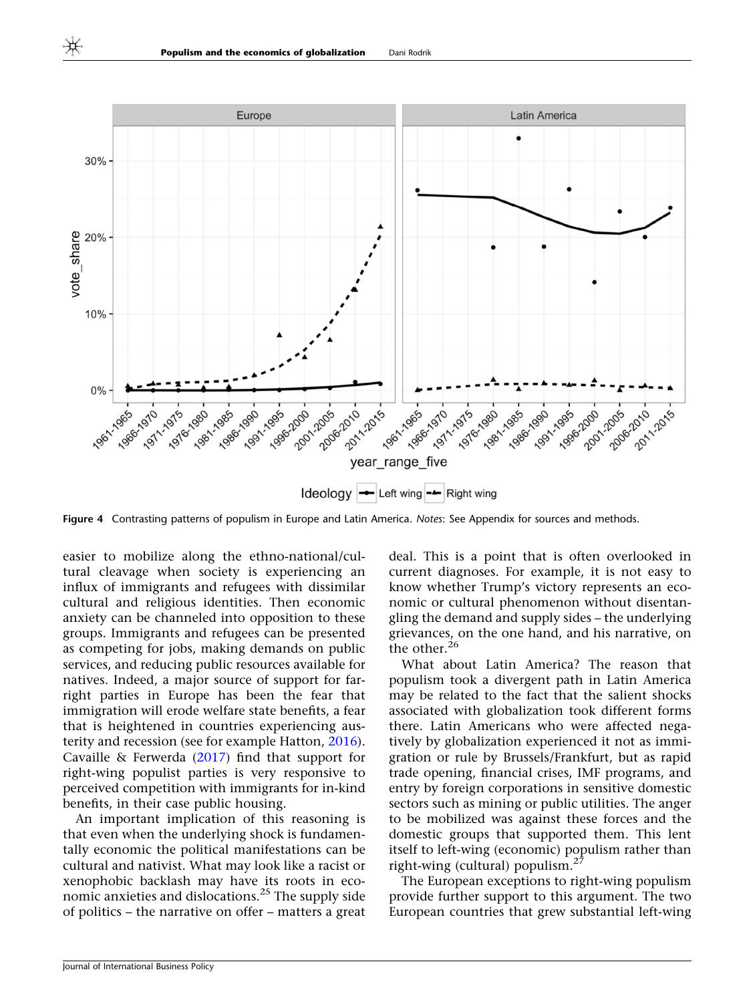<span id="page-13-0"></span>

Figure 4 Contrasting patterns of populism in Europe and Latin America. Notes: See Appendix for sources and methods.

easier to mobilize along the ethno-national/cultural cleavage when society is experiencing an influx of immigrants and refugees with dissimilar cultural and religious identities. Then economic anxiety can be channeled into opposition to these groups. Immigrants and refugees can be presented as competing for jobs, making demands on public services, and reducing public resources available for natives. Indeed, a major source of support for farright parties in Europe has been the fear that immigration will erode welfare state benefits, a fear that is heightened in countries experiencing austerity and recession (see for example Hatton, [2016\)](#page-19-0). Cavaille & Ferwerda  $(2017)$  $(2017)$  find that support for right-wing populist parties is very responsive to perceived competition with immigrants for in-kind benefits, in their case public housing.

An important implication of this reasoning is that even when the underlying shock is fundamentally economic the political manifestations can be cultural and nativist. What may look like a racist or xenophobic backlash may have its roots in economic anxieties and dislocations.<sup>25</sup> The supply side of politics – the narrative on offer – matters a great deal. This is a point that is often overlooked in current diagnoses. For example, it is not easy to know whether Trump's victory represents an economic or cultural phenomenon without disentangling the demand and supply sides – the underlying grievances, on the one hand, and his narrative, on the other.<sup>26</sup>

What about Latin America? The reason that populism took a divergent path in Latin America may be related to the fact that the salient shocks associated with globalization took different forms there. Latin Americans who were affected negatively by globalization experienced it not as immigration or rule by Brussels/Frankfurt, but as rapid trade opening, financial crises, IMF programs, and entry by foreign corporations in sensitive domestic sectors such as mining or public utilities. The anger to be mobilized was against these forces and the domestic groups that supported them. This lent itself to left-wing (economic) populism rather than right-wing (cultural) populism.<sup>27</sup>

The European exceptions to right-wing populism provide further support to this argument. The two European countries that grew substantial left-wing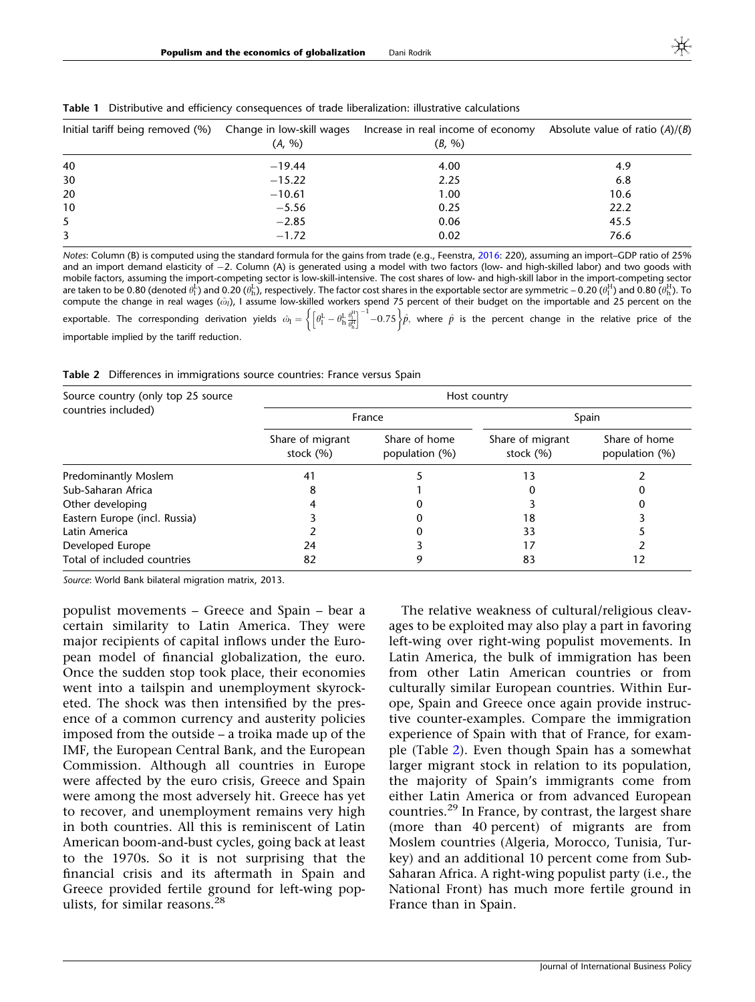| 5 |  |
|---|--|
| ċ |  |
|   |  |
|   |  |

| Initial tariff being removed (%) Change in low-skill wages | (A, %)   | Increase in real income of economy<br>(B, 96) | Absolute value of ratio $(A)/(B)$ |  |
|------------------------------------------------------------|----------|-----------------------------------------------|-----------------------------------|--|
| 40                                                         | $-19.44$ | 4.00                                          | 4.9                               |  |
| 30                                                         | $-15.22$ | 2.25                                          | 6.8                               |  |
| 20                                                         | $-10.61$ | 1.00                                          | 10.6                              |  |
| 10 <sup>°</sup>                                            | $-5.56$  | 0.25                                          | 22.2                              |  |
| 5                                                          | $-2.85$  | 0.06                                          | 45.5                              |  |
| 3                                                          | $-1.72$  | 0.02                                          | 76.6                              |  |

<span id="page-14-0"></span>Table 1 Distributive and efficiency consequences of trade liberalization: illustrative calculations

Notes: Column (B) is computed using the standard formula for the gains from trade (e.g., Feenstra, [2016](#page-19-0): 220), assuming an import–GDP ratio of 25% and an import demand elasticity of -2. Column (A) is generated using a model with two factors (low- and high-skilled labor) and two goods with mobile factors, assuming the import-competing sector is low-skill-intensive. The cost shares of low- and high-skill labor in the import-competing sector are taken to be 0.80 (denoted  $\theta^{\rm L}_{\rm I}$ ) and 0.20 ( $\theta^{\rm L}_{\rm h}$ ), respectively. The factor cost shares in the exportable sector are symmetric – 0.20 ( $\theta^{\rm H}_\rm I$ ) and 0.80 ( $\theta^{\rm H}_{\rm h}$ ). To compute the change in real wages ( $\hat{\omega}_l$ ), I assume low-skilled workers spend 75 percent of their budget on the importable and 25 percent on the exportable. The corresponding derivation yields  $\hat{\omega_1} = \bigg\{ \left[ \theta_1^{\rm L} - \theta_{\rm h}^{\rm L} \frac{\theta_{\rm I}^{\rm H}}{\theta_{\rm h}^{\rm H}} \right.$  $\left\{\begin{bmatrix} \theta_L^L - \theta_R^L \frac{\theta_L^H}{\theta_R^H} \end{bmatrix}^{-1} - 0.75 \right\} \hat{p}$ , where  $\hat{p}$  is the percent change in the relative price of the importable implied by the tariff reduction.

Table 2 Differences in immigrations source countries: France versus Spain

| Source country (only top 25 source<br>countries included) | Host country                     |                                 |                                  |                                 |
|-----------------------------------------------------------|----------------------------------|---------------------------------|----------------------------------|---------------------------------|
|                                                           | France                           |                                 | Spain                            |                                 |
|                                                           | Share of migrant<br>stock $(\%)$ | Share of home<br>population (%) | Share of migrant<br>stock $(\%)$ | Share of home<br>population (%) |
| Predominantly Moslem                                      | 41                               |                                 | 13                               |                                 |
| Sub-Saharan Africa                                        |                                  |                                 |                                  |                                 |
| Other developing                                          |                                  |                                 |                                  |                                 |
| Eastern Europe (incl. Russia)                             |                                  |                                 | 18                               |                                 |
| Latin America                                             |                                  |                                 | 33                               |                                 |
| Developed Europe                                          | 24                               |                                 |                                  |                                 |
| Total of included countries                               | 82                               |                                 | 83                               |                                 |

Source: World Bank bilateral migration matrix, 2013.

populist movements – Greece and Spain – bear a certain similarity to Latin America. They were major recipients of capital inflows under the European model of financial globalization, the euro. Once the sudden stop took place, their economies went into a tailspin and unemployment skyrocketed. The shock was then intensified by the presence of a common currency and austerity policies imposed from the outside – a troika made up of the IMF, the European Central Bank, and the European Commission. Although all countries in Europe were affected by the euro crisis, Greece and Spain were among the most adversely hit. Greece has yet to recover, and unemployment remains very high in both countries. All this is reminiscent of Latin American boom-and-bust cycles, going back at least to the 1970s. So it is not surprising that the financial crisis and its aftermath in Spain and Greece provided fertile ground for left-wing populists, for similar reasons.<sup>28</sup>

The relative weakness of cultural/religious cleavages to be exploited may also play a part in favoring left-wing over right-wing populist movements. In Latin America, the bulk of immigration has been from other Latin American countries or from culturally similar European countries. Within Europe, Spain and Greece once again provide instructive counter-examples. Compare the immigration experience of Spain with that of France, for example (Table 2). Even though Spain has a somewhat larger migrant stock in relation to its population, the majority of Spain's immigrants come from either Latin America or from advanced European countries.<sup>29</sup> In France, by contrast, the largest share (more than 40 percent) of migrants are from Moslem countries (Algeria, Morocco, Tunisia, Turkey) and an additional 10 percent come from Sub-Saharan Africa. A right-wing populist party (i.e., the National Front) has much more fertile ground in France than in Spain.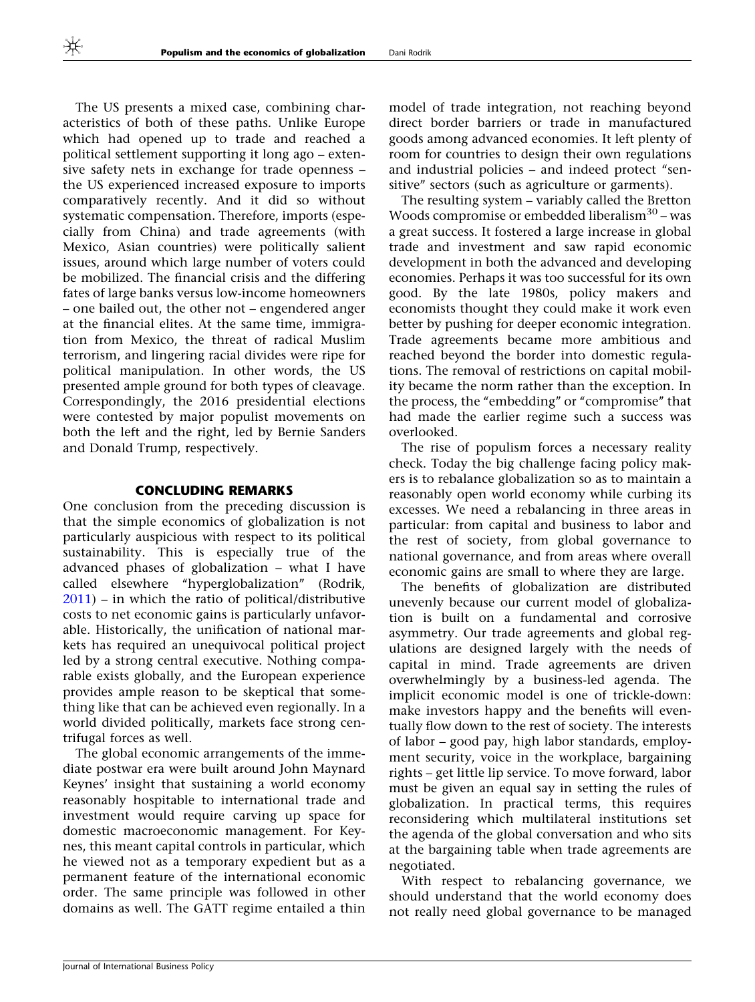<span id="page-15-0"></span>The US presents a mixed case, combining characteristics of both of these paths. Unlike Europe which had opened up to trade and reached a political settlement supporting it long ago – extensive safety nets in exchange for trade openness – the US experienced increased exposure to imports comparatively recently. And it did so without systematic compensation. Therefore, imports (especially from China) and trade agreements (with Mexico, Asian countries) were politically salient issues, around which large number of voters could be mobilized. The financial crisis and the differing fates of large banks versus low-income homeowners – one bailed out, the other not – engendered anger at the financial elites. At the same time, immigration from Mexico, the threat of radical Muslim terrorism, and lingering racial divides were ripe for political manipulation. In other words, the US presented ample ground for both types of cleavage. Correspondingly, the 2016 presidential elections were contested by major populist movements on both the left and the right, led by Bernie Sanders and Donald Trump, respectively.

## CONCLUDING REMARKS

One conclusion from the preceding discussion is that the simple economics of globalization is not particularly auspicious with respect to its political sustainability. This is especially true of the advanced phases of globalization – what I have called elsewhere ''hyperglobalization'' (Rodrik, [2011\)](#page-20-0) – in which the ratio of political/distributive costs to net economic gains is particularly unfavorable. Historically, the unification of national markets has required an unequivocal political project led by a strong central executive. Nothing comparable exists globally, and the European experience provides ample reason to be skeptical that something like that can be achieved even regionally. In a world divided politically, markets face strong centrifugal forces as well.

The global economic arrangements of the immediate postwar era were built around John Maynard Keynes' insight that sustaining a world economy reasonably hospitable to international trade and investment would require carving up space for domestic macroeconomic management. For Keynes, this meant capital controls in particular, which he viewed not as a temporary expedient but as a permanent feature of the international economic order. The same principle was followed in other domains as well. The GATT regime entailed a thin

model of trade integration, not reaching beyond direct border barriers or trade in manufactured goods among advanced economies. It left plenty of room for countries to design their own regulations and industrial policies – and indeed protect ''sensitive'' sectors (such as agriculture or garments).

The resulting system – variably called the Bretton Woods compromise or embedded liberalism $30 - was$ a great success. It fostered a large increase in global trade and investment and saw rapid economic development in both the advanced and developing economies. Perhaps it was too successful for its own good. By the late 1980s, policy makers and economists thought they could make it work even better by pushing for deeper economic integration. Trade agreements became more ambitious and reached beyond the border into domestic regulations. The removal of restrictions on capital mobility became the norm rather than the exception. In the process, the "embedding" or "compromise" that had made the earlier regime such a success was overlooked.

The rise of populism forces a necessary reality check. Today the big challenge facing policy makers is to rebalance globalization so as to maintain a reasonably open world economy while curbing its excesses. We need a rebalancing in three areas in particular: from capital and business to labor and the rest of society, from global governance to national governance, and from areas where overall economic gains are small to where they are large.

The benefits of globalization are distributed unevenly because our current model of globalization is built on a fundamental and corrosive asymmetry. Our trade agreements and global regulations are designed largely with the needs of capital in mind. Trade agreements are driven overwhelmingly by a business-led agenda. The implicit economic model is one of trickle-down: make investors happy and the benefits will eventually flow down to the rest of society. The interests of labor – good pay, high labor standards, employment security, voice in the workplace, bargaining rights – get little lip service. To move forward, labor must be given an equal say in setting the rules of globalization. In practical terms, this requires reconsidering which multilateral institutions set the agenda of the global conversation and who sits at the bargaining table when trade agreements are negotiated.

With respect to rebalancing governance, we should understand that the world economy does not really need global governance to be managed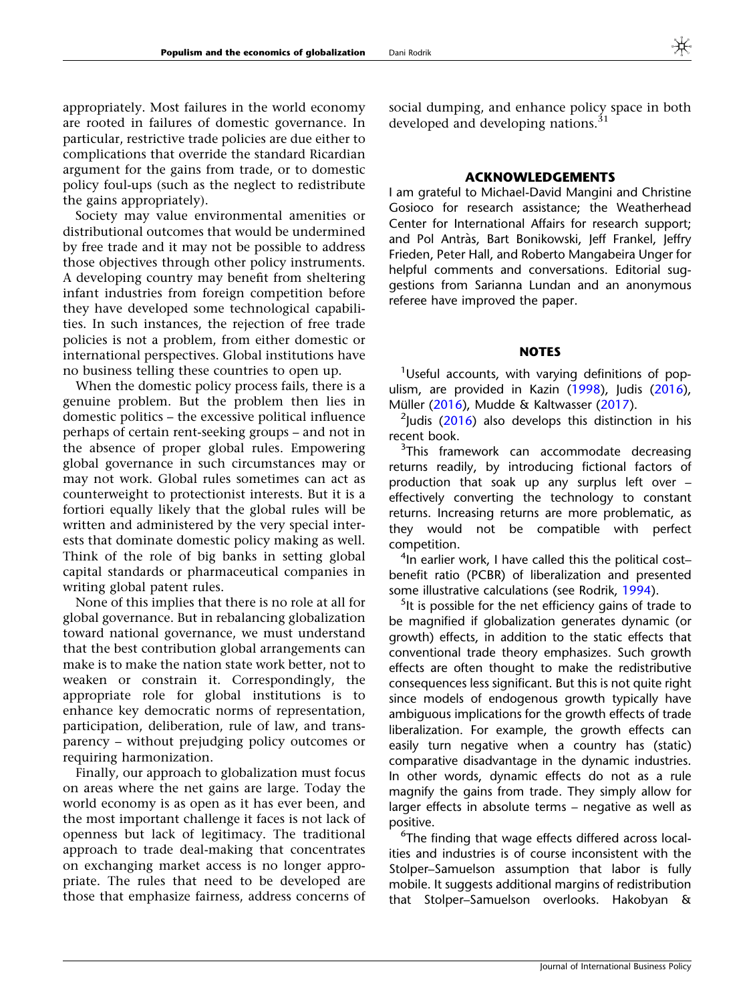appropriately. Most failures in the world economy are rooted in failures of domestic governance. In particular, restrictive trade policies are due either to complications that override the standard Ricardian argument for the gains from trade, or to domestic policy foul-ups (such as the neglect to redistribute the gains appropriately).

Society may value environmental amenities or distributional outcomes that would be undermined by free trade and it may not be possible to address those objectives through other policy instruments. A developing country may benefit from sheltering infant industries from foreign competition before they have developed some technological capabilities. In such instances, the rejection of free trade policies is not a problem, from either domestic or international perspectives. Global institutions have no business telling these countries to open up.

When the domestic policy process fails, there is a genuine problem. But the problem then lies in domestic politics – the excessive political influence perhaps of certain rent-seeking groups – and not in the absence of proper global rules. Empowering global governance in such circumstances may or may not work. Global rules sometimes can act as counterweight to protectionist interests. But it is a fortiori equally likely that the global rules will be written and administered by the very special interests that dominate domestic policy making as well. Think of the role of big banks in setting global capital standards or pharmaceutical companies in writing global patent rules.

None of this implies that there is no role at all for global governance. But in rebalancing globalization toward national governance, we must understand that the best contribution global arrangements can make is to make the nation state work better, not to weaken or constrain it. Correspondingly, the appropriate role for global institutions is to enhance key democratic norms of representation, participation, deliberation, rule of law, and transparency – without prejudging policy outcomes or requiring harmonization.

Finally, our approach to globalization must focus on areas where the net gains are large. Today the world economy is as open as it has ever been, and the most important challenge it faces is not lack of openness but lack of legitimacy. The traditional approach to trade deal-making that concentrates on exchanging market access is no longer appropriate. The rules that need to be developed are those that emphasize fairness, address concerns of social dumping, and enhance policy space in both developed and developing nations.<sup>31</sup>

#### ACKNOWLEDGEMENTS

I am grateful to Michael-David Mangini and Christine Gosioco for research assistance; the Weatherhead Center for International Affairs for research support; and Pol Antràs, Bart Bonikowski, Jeff Frankel, Jeffry Frieden, Peter Hall, and Roberto Mangabeira Unger for helpful comments and conversations. Editorial suggestions from Sarianna Lundan and an anonymous referee have improved the paper.

#### **NOTES**

<sup>1</sup>Useful accounts, with varying definitions of populism, are provided in Kazin [\(1998\)](#page-19-0), Judis [\(2016](#page-19-0)), Müller ([2016\)](#page-19-0), Mudde & Kaltwasser ([2017\)](#page-19-0).

 $2$ Judis ([2016\)](#page-19-0) also develops this distinction in his recent book.

<sup>3</sup>This framework can accommodate decreasing returns readily, by introducing fictional factors of production that soak up any surplus left over – effectively converting the technology to constant returns. Increasing returns are more problematic, as they would not be compatible with perfect competition.

<sup>4</sup>In earlier work, I have called this the political costbenefit ratio (PCBR) of liberalization and presented some illustrative calculations (see Rodrik, [1994\)](#page-20-0).

<sup>5</sup>It is possible for the net efficiency gains of trade to be magnified if globalization generates dynamic (or growth) effects, in addition to the static effects that conventional trade theory emphasizes. Such growth effects are often thought to make the redistributive consequences less significant. But this is not quite right since models of endogenous growth typically have ambiguous implications for the growth effects of trade liberalization. For example, the growth effects can easily turn negative when a country has (static) comparative disadvantage in the dynamic industries. In other words, dynamic effects do not as a rule magnify the gains from trade. They simply allow for larger effects in absolute terms – negative as well as positive.

<sup>6</sup>The finding that wage effects differed across localities and industries is of course inconsistent with the Stolper–Samuelson assumption that labor is fully mobile. It suggests additional margins of redistribution that Stolper–Samuelson overlooks. Hakobyan &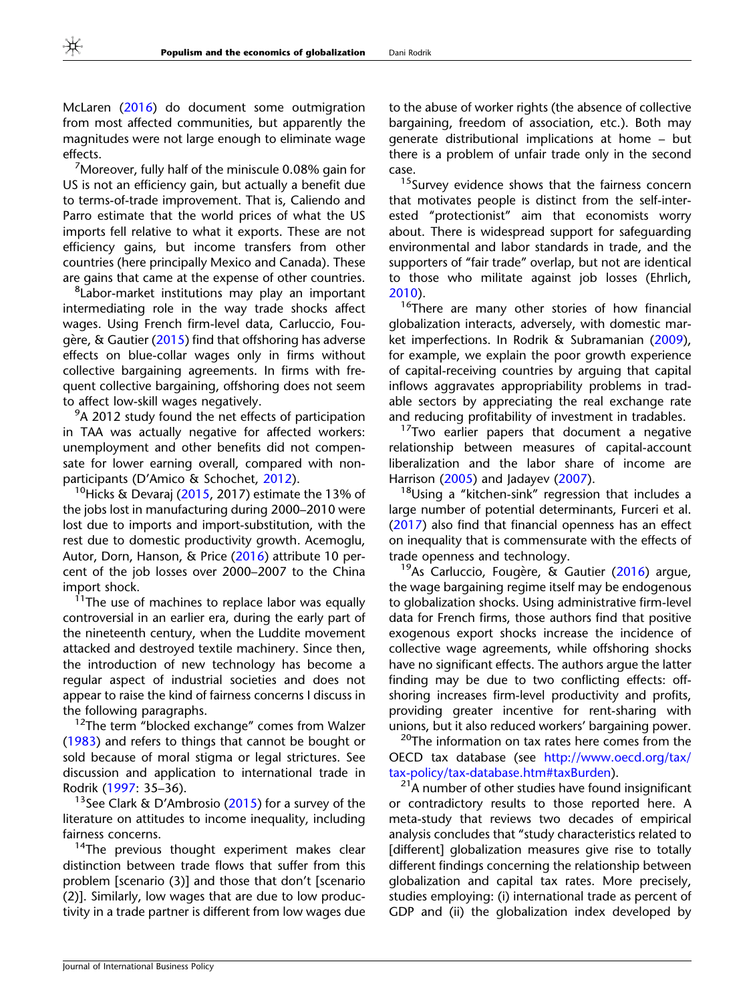McLaren ([2016\)](#page-19-0) do document some outmigration from most affected communities, but apparently the magnitudes were not large enough to eliminate wage effects.

 $^7$ Moreover, fully half of the miniscule 0.08% gain for US is not an efficiency gain, but actually a benefit due to terms-of-trade improvement. That is, Caliendo and Parro estimate that the world prices of what the US imports fell relative to what it exports. These are not efficiency gains, but income transfers from other countries (here principally Mexico and Canada). These are gains that came at the expense of other countries.

<sup>8</sup> Labor-market institutions may play an important intermediating role in the way trade shocks affect wages. Using French firm-level data, Carluccio, Fougère, & Gautier ( $2015$ ) find that offshoring has adverse effects on blue-collar wages only in firms without collective bargaining agreements. In firms with frequent collective bargaining, offshoring does not seem to affect low-skill wages negatively.

<sup>9</sup>A 2012 study found the net effects of participation in TAA was actually negative for affected workers: unemployment and other benefits did not compensate for lower earning overall, compared with nonparticipants (D'Amico & Schochet, [2012\)](#page-19-0).

<sup>10</sup>Hicks & Devaraj ([2015,](#page-19-0) 2017) estimate the 13% of the jobs lost in manufacturing during 2000–2010 were lost due to imports and import-substitution, with the rest due to domestic productivity growth. Acemoglu, Autor, Dorn, Hanson, & Price ([2016\)](#page-18-0) attribute 10 percent of the job losses over 2000–2007 to the China import shock.

<sup>11</sup>The use of machines to replace labor was equally controversial in an earlier era, during the early part of the nineteenth century, when the Luddite movement attacked and destroyed textile machinery. Since then, the introduction of new technology has become a regular aspect of industrial societies and does not appear to raise the kind of fairness concerns I discuss in the following paragraphs.

 $12$ The term "blocked exchange" comes from Walzer [\(1983](#page-20-0)) and refers to things that cannot be bought or sold because of moral stigma or legal strictures. See discussion and application to international trade in Rodrik [\(1997](#page-20-0): 35–36).

<sup>13</sup>See Clark & D'Ambrosio [\(2015](#page-19-0)) for a survey of the literature on attitudes to income inequality, including fairness concerns.

<sup>14</sup>The previous thought experiment makes clear distinction between trade flows that suffer from this problem [scenario (3)] and those that don't [scenario (2)]. Similarly, low wages that are due to low productivity in a trade partner is different from low wages due to the abuse of worker rights (the absence of collective bargaining, freedom of association, etc.). Both may generate distributional implications at home – but there is a problem of unfair trade only in the second case.

<sup>15</sup>Survey evidence shows that the fairness concern that motivates people is distinct from the self-interested ''protectionist'' aim that economists worry about. There is widespread support for safeguarding environmental and labor standards in trade, and the supporters of "fair trade" overlap, but not are identical to those who militate against job losses (Ehrlich, [2010\)](#page-19-0).

<sup>16</sup>There are many other stories of how financial globalization interacts, adversely, with domestic market imperfections. In Rodrik & Subramanian [\(2009](#page-20-0)), for example, we explain the poor growth experience of capital-receiving countries by arguing that capital inflows aggravates appropriability problems in tradable sectors by appreciating the real exchange rate and reducing profitability of investment in tradables.

<sup>17</sup>Two earlier papers that document a negative relationship between measures of capital-account liberalization and the labor share of income are Harrison [\(2005](#page-19-0)) and Jadayev ([2007\)](#page-19-0).

<sup>18</sup>Using a "kitchen-sink" regression that includes a large number of potential determinants, Furceri et al. [\(2017](#page-19-0)) also find that financial openness has an effect on inequality that is commensurate with the effects of trade openness and technology.

<sup>19</sup>As Carluccio, Fougère, & Gautier [\(2016](#page-19-0)) argue, the wage bargaining regime itself may be endogenous to globalization shocks. Using administrative firm-level data for French firms, those authors find that positive exogenous export shocks increase the incidence of collective wage agreements, while offshoring shocks have no significant effects. The authors argue the latter finding may be due to two conflicting effects: offshoring increases firm-level productivity and profits, providing greater incentive for rent-sharing with unions, but it also reduced workers' bargaining power.

<sup>20</sup>The information on tax rates here comes from the OECD tax database (see [http://www.oecd.org/tax/](http://www.oecd.org/tax/tax-policy/tax-database.htm%23taxBurden) [tax-policy/tax-database.htm#taxBurden](http://www.oecd.org/tax/tax-policy/tax-database.htm%23taxBurden)).

 $21$ <sup>A</sup> number of other studies have found insignificant or contradictory results to those reported here. A meta-study that reviews two decades of empirical analysis concludes that ''study characteristics related to [different] globalization measures give rise to totally different findings concerning the relationship between globalization and capital tax rates. More precisely, studies employing: (i) international trade as percent of GDP and (ii) the globalization index developed by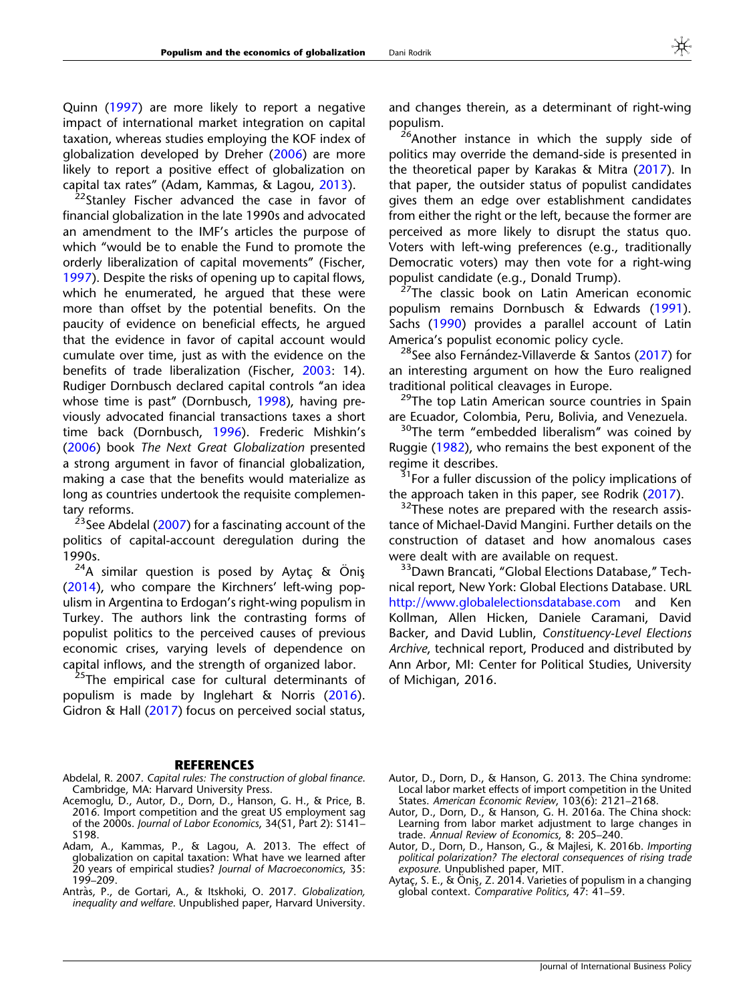<span id="page-18-0"></span>Quinn [\(1997](#page-20-0)) are more likely to report a negative impact of international market integration on capital taxation, whereas studies employing the KOF index of globalization developed by Dreher ([2006\)](#page-19-0) are more likely to report a positive effect of globalization on capital tax rates'' (Adam, Kammas, & Lagou, 2013).

 $22$ Stanley Fischer advanced the case in favor of financial globalization in the late 1990s and advocated an amendment to the IMF's articles the purpose of which "would be to enable the Fund to promote the orderly liberalization of capital movements'' (Fischer, [1997\)](#page-19-0). Despite the risks of opening up to capital flows, which he enumerated, he arqued that these were more than offset by the potential benefits. On the paucity of evidence on beneficial effects, he argued that the evidence in favor of capital account would cumulate over time, just as with the evidence on the benefits of trade liberalization (Fischer, [2003:](#page-19-0) 14). Rudiger Dornbusch declared capital controls ''an idea whose time is past" (Dornbusch, [1998\)](#page-19-0), having previously advocated financial transactions taxes a short time back (Dornbusch, [1996\)](#page-19-0). Frederic Mishkin's [\(2006](#page-19-0)) book The Next Great Globalization presented a strong argument in favor of financial globalization, making a case that the benefits would materialize as long as countries undertook the requisite complementary reforms.

<sup>23</sup>See Abdelal (2007) for a fascinating account of the politics of capital-account deregulation during the 1990s.

<sup>24</sup>A similar question is posed by Aytaç & Öniş (2014), who compare the Kirchners' left-wing populism in Argentina to Erdogan's right-wing populism in Turkey. The authors link the contrasting forms of populist politics to the perceived causes of previous economic crises, varying levels of dependence on capital inflows, and the strength of organized labor.

<sup>25</sup>The empirical case for cultural determinants of populism is made by Inglehart & Norris [\(2016\)](#page-19-0). Gidron & Hall ([2017\)](#page-19-0) focus on perceived social status,

#### **REFERENCES**

- Abdelal, R. 2007. Capital rules: The construction of global finance. Cambridge, MA: Harvard University Press.
- Acemoglu, D., Autor, D., Dorn, D., Hanson, G. H., & Price, B. 2016. Import competition and the great US employment sag of the 2000s. Journal of Labor Economics, 34(S1, Part 2): S141– S198.
- Adam, A., Kammas, P., & Lagou, A. 2013. The effect of globalization on capital taxation: What have we learned after 20 years of empirical studies? Journal of Macroeconomics, 35: 199–209.
- Antràs, P., de Gortari, A., & Itskhoki, O. 2017. Globalization, inequality and welfare. Unpublished paper, Harvard University.

and changes therein, as a determinant of right-wing populism.

 $26$ Another instance in which the supply side of politics may override the demand-side is presented in the theoretical paper by Karakas & Mitra [\(2017](#page-19-0)). In that paper, the outsider status of populist candidates gives them an edge over establishment candidates from either the right or the left, because the former are perceived as more likely to disrupt the status quo. Voters with left-wing preferences (e.g., traditionally Democratic voters) may then vote for a right-wing populist candidate (e.g., Donald Trump).

<sup>27</sup>The classic book on Latin American economic populism remains Dornbusch & Edwards [\(1991](#page-19-0)). Sachs [\(1990](#page-20-0)) provides a parallel account of Latin America's populist economic policy cycle.

<sup>28</sup>See also Fernández-Villaverde & Santos [\(2017](#page-19-0)) for an interesting argument on how the Euro realigned traditional political cleavages in Europe.

<sup>29</sup>The top Latin American source countries in Spain are Ecuador, Colombia, Peru, Bolivia, and Venezuela.

<sup>30</sup>The term "embedded liberalism" was coined by Ruggie ([1982\)](#page-20-0), who remains the best exponent of the regime it describes.

<sup>31</sup>For a fuller discussion of the policy implications of the approach taken in this paper, see Rodrik ([2017\)](#page-20-0).

<sup>32</sup>These notes are prepared with the research assistance of Michael-David Mangini. Further details on the construction of dataset and how anomalous cases were dealt with are available on request.

<sup>33</sup>Dawn Brancati, "Global Elections Database," Technical report, New York: Global Elections Database. URL <http://www.globalelectionsdatabase.com> and Ken Kollman, Allen Hicken, Daniele Caramani, David Backer, and David Lublin, Constituency-Level Elections Archive, technical report, Produced and distributed by Ann Arbor, MI: Center for Political Studies, University of Michigan, 2016.

- Autor, D., Dorn, D., & Hanson, G. H. 2016a. The China shock: Learning from labor market adjustment to large changes in trade. Annual Review of Economics, 8: 205–240.
- Autor, D., Dorn, D., Hanson, G., & Majlesi, K. 2016b. Importing political polarization? The electoral consequences of rising trade exposure. Unpublished paper, MIT.
- Aytaç, S. E., & Oniş, Z. 2014. Varieties of populism in a changing global context. Comparative Politics, 47: 41–59.

Autor, D., Dorn, D., & Hanson, G. 2013. The China syndrome: Local labor market effects of import competition in the United States. American Economic Review, 103(6): 2121–2168.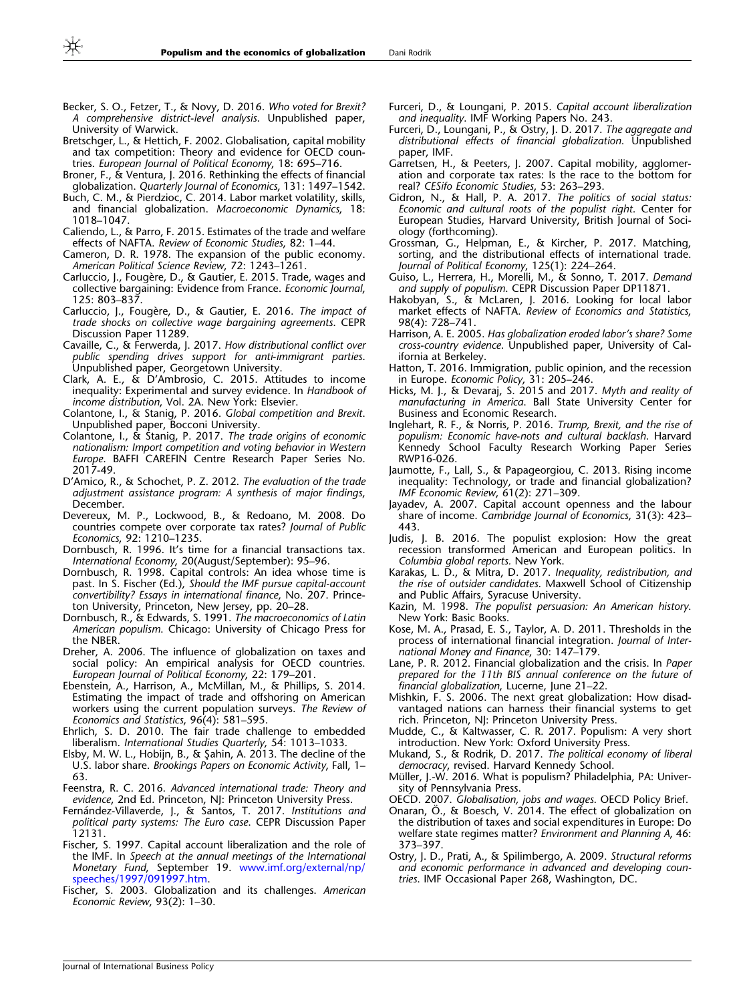- <span id="page-19-0"></span>Becker, S. O., Fetzer, T., & Novy, D. 2016. Who voted for Brexit? A comprehensive district-level analysis. Unpublished paper, University of Warwick.
- Bretschger, L., & Hettich, F. 2002. Globalisation, capital mobility and tax competition: Theory and evidence for OECD countries. European Journal of Political Economy, 18: 695–716.
- Broner, F., & Ventura, J. 2016. Rethinking the effects of financial globalization. Quarterly Journal of Economics, 131: 1497–1542.
- Buch, C. M., & Pierdzioc, C. 2014. Labor market volatility, skills, and financial globalization. Macroeconomic Dynamics, 18: 1018–1047.
- Caliendo, L., & Parro, F. 2015. Estimates of the trade and welfare effects of NAFTA. Review of Economic Studies, 82: 1–44.
- Cameron, D. R. 1978. The expansion of the public economy. American Political Science Review, 72: 1243–1261.
- Carluccio, J., Fougère, D., & Gautier, E. 2015. Trade, wages and collective bargaining: Evidence from France. Economic Journal, 125: 803–837.
- Carluccio, J., Fougère, D., & Gautier, E. 2016. The impact of trade shocks on collective wage bargaining agreements. CEPR Discussion Paper 11289.
- Cavaille, C., & Ferwerda, J. 2017. How distributional conflict over public spending drives support for anti-immigrant parties. Unpublished paper, Georgetown University.
- Clark, A. E., & D'Ambrosio, C. 2015. Attitudes to income inequality: Experimental and survey evidence. In Handbook of income distribution, Vol. 2A. New York: Elsevier.
- Colantone, I., & Stanig, P. 2016. Global competition and Brexit. Unpublished paper, Bocconi University.
- Colantone, I., & Stanig, P. 2017. The trade origins of economic nationalism: Import competition and voting behavior in Western Europe. BAFFI CAREFIN Centre Research Paper Series No. 2017-49.
- D'Amico, R., & Schochet, P. Z. 2012. The evaluation of the trade adjustment assistance program: A synthesis of major findings, December.
- Devereux, M. P., Lockwood, B., & Redoano, M. 2008. Do countries compete over corporate tax rates? Journal of Public Economics, 92: 1210–1235.
- Dornbusch, R. 1996. It's time for a financial transactions tax. International Economy, 20(August/September): 95–96.
- Dornbusch, R. 1998. Capital controls: An idea whose time is past. In S. Fischer (Ed.), Should the IMF pursue capital-account convertibility? Essays in international finance, No. 207. Princeton University, Princeton, New Jersey, pp. 20–28.
- Dornbusch, R., & Edwards, S. 1991. The macroeconomics of Latin American populism. Chicago: University of Chicago Press for the NBER.
- Dreher, A. 2006. The influence of globalization on taxes and social policy: An empirical analysis for OECD countries. European Journal of Political Economy, 22: 179–201.
- Ebenstein, A., Harrison, A., McMillan, M., & Phillips, S. 2014. Estimating the impact of trade and offshoring on American workers using the current population surveys. The Review of Economics and Statistics, 96(4): 581–595.
- Ehrlich, S. D. 2010. The fair trade challenge to embedded liberalism. International Studies Quarterly, 54: 1013–1033.
- Elsby, M. W. L., Hobijn, B., & Şahin, A. 2013. The decline of the U.S. labor share. Brookings Papers on Economic Activity, Fall, 1– 63.
- Feenstra, R. C. 2016. Advanced international trade: Theory and evidence, 2nd Ed. Princeton, NJ: Princeton University Press.
- Fernández-Villaverde, J., & Santos, T. 2017. Institutions and political party systems: The Euro case. CEPR Discussion Paper 12131.
- Fischer, S. 1997. Capital account liberalization and the role of the IMF. In Speech at the annual meetings of the International Monetary Fund, September 19. [www.imf.org/external/np/](http://www.imf.org/external/np/speeches/1997/091997.htm) [speeches/1997/091997.htm.](http://www.imf.org/external/np/speeches/1997/091997.htm)
- Fischer, S. 2003. Globalization and its challenges. American Economic Review, 93(2): 1–30.
- Furceri, D., & Loungani, P. 2015. Capital account liberalization and inequality. IMF Working Papers No. 243.
- Furceri, D., Loungani, P., & Ostry, J. D. 2017. The aggregate and distributional effects of financial globalization. Unpublished paper, IMF.
- Garretsen, H., & Peeters, J. 2007. Capital mobility, agglomeration and corporate tax rates: Is the race to the bottom for real? CESifo Economic Studies, 53: 263–293.
- Gidron, N., & Hall, P. A. 2017. The politics of social status: Economic and cultural roots of the populist right. Center for European Studies, Harvard University, British Journal of Sociology (forthcoming).
- Grossman, G., Helpman, E., & Kircher, P. 2017. Matching, sorting, and the distributional effects of international trade. Journal of Political Economy, 125(1): 224–264.
- Guiso, L., Herrera, H., Morelli, M., & Sonno, T. 2017. Demand and supply of populism. CEPR Discussion Paper DP11871.
- Hakobyan, S., & McLaren, J. 2016. Looking for local labor market effects of NAFTA. Review of Economics and Statistics, 98(4): 728–741.
- Harrison, A. E. 2005. Has globalization eroded labor's share? Some cross-country evidence. Unpublished paper, University of California at Berkeley.
- Hatton, T. 2016. Immigration, public opinion, and the recession in Europe. Economic Policy, 31: 205–246.
- Hicks, M. J., & Devaraj, S. 2015 and 2017. Myth and reality of manufacturing in America. Ball State University Center for Business and Economic Research.
- Inglehart, R. F., & Norris, P. 2016. Trump, Brexit, and the rise of populism: Economic have-nots and cultural backlash. Harvard Kennedy School Faculty Research Working Paper Series RWP16-026.
- Jaumotte, F., Lall, S., & Papageorgiou, C. 2013. Rising income inequality: Technology, or trade and financial globalization? IMF Economic Review, 61(2): 271–309.
- Jayadev, A. 2007. Capital account openness and the labour share of income. Cambridge Journal of Economics, 31(3): 423– 443.
- Judis, J. B. 2016. The populist explosion: How the great recession transformed American and European politics. In Columbia global reports. New York.
- Karakas, L. D., & Mitra, D. 2017. Inequality, redistribution, and the rise of outsider candidates. Maxwell School of Citizenship and Public Affairs, Syracuse University.
- Kazin, M. 1998. The populist persuasion: An American history. New York: Basic Books.
- Kose, M. A., Prasad, E. S., Taylor, A. D. 2011. Thresholds in the process of international financial integration. Journal of International Money and Finance, 30: 147–179.
- Lane, P. R. 2012. Financial globalization and the crisis. In Paper prepared for the 11th BIS annual conference on the future of financial globalization, Lucerne, June 21–22.
- Mishkin, F. S. 2006. The next great globalization: How disadvantaged nations can harness their financial systems to get rich. Princeton, NJ: Princeton University Press.
- Mudde, C., & Kaltwasser, C. R. 2017. Populism: A very short introduction. New York: Oxford University Press.
- Mukand, S., & Rodrik, D. 2017. The political economy of liberal democracy, revised. Harvard Kennedy School.
- Müller, J.-W. 2016. What is populism? Philadelphia, PA: University of Pennsylvania Press.
- OECD. 2007. Globalisation, jobs and wages. OECD Policy Brief.
- Onaran, Ö., & Boesch, V. 2014. The effect of globalization on the distribution of taxes and social expenditures in Europe: Do welfare state regimes matter? Environment and Planning A, 46: 373–397.
- Ostry, J. D., Prati, A., & Spilimbergo, A. 2009. Structural reforms and economic performance in advanced and developing countries. IMF Occasional Paper 268, Washington, DC.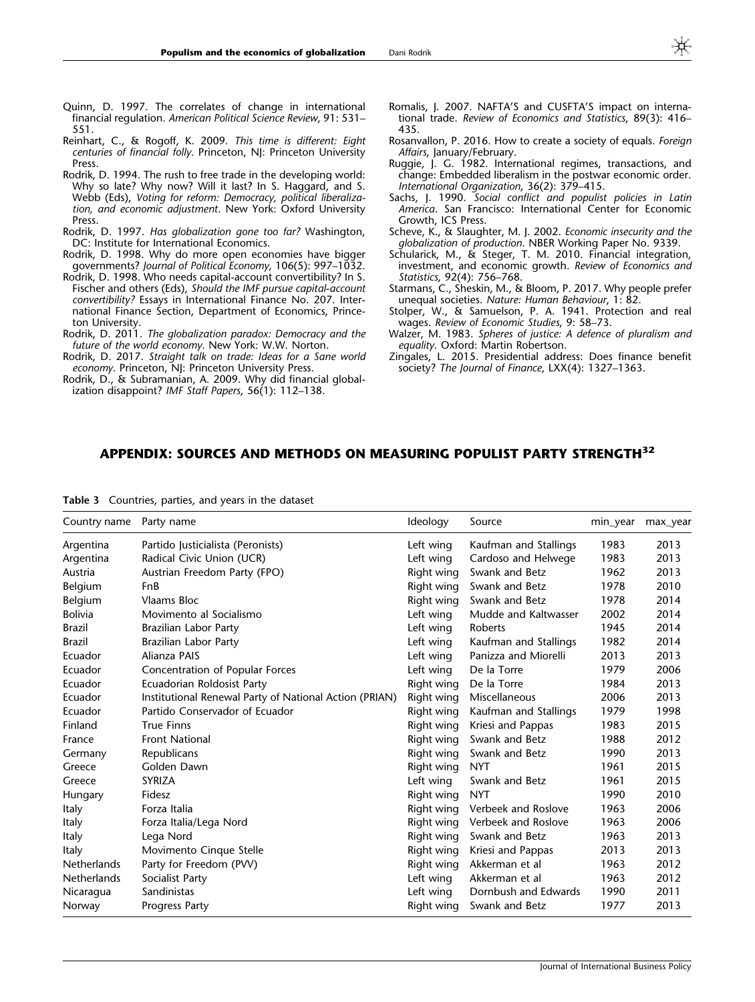- <span id="page-20-0"></span>Quinn, D. 1997. The correlates of change in international financial regulation. American Political Science Review, 91: 531– 551.
- Reinhart, C., & Rogoff, K. 2009. This time is different: Eiaht centuries of financial folly. Princeton, NJ: Princeton University Press.
- Rodrik, D. 1994. The rush to free trade in the developing world: Why so late? Why now? Will it last? In S. Haggard, and S. Webb (Eds), Voting for reform: Democracy, political liberalization, and economic adjustment. New York: Oxford University Press.
- Rodrik, D. 1997. Has globalization gone too far? Washington, DC: Institute for International Economics.
- Rodrik, D. 1998. Why do more open economies have bigger governments? Journal of Political Economy, 106(5): 997–1032.
- Rodrik, D. 1998. Who needs capital-account convertibility? In S. Fischer and others (Eds), Should the IMF pursue capital-account convertibility? Essays in International Finance No. 207. International Finance Section, Department of Economics, Princeton University.
- Rodrik, D. 2011. The globalization paradox: Democracy and the future of the world economy. New York: W.W. Norton.
- Rodrik, D. 2017. Straight talk on trade: Ideas for a Sane world economy. Princeton, NJ: Princeton University Press.
- Rodrik, D., & Subramanian, A. 2009. Why did financial globalization disappoint? IMF Staff Papers, 56(1): 112–138.
- Romalis, J. 2007. NAFTA'S and CUSFTA'S impact on international trade. Review of Economics and Statistics, 89(3): 416– 435.
- Rosanvallon, P. 2016. How to create a society of equals. Foreign Affairs, January/February.
- Ruggie, J. G. 1982. International regimes, transactions, and change: Embedded liberalism in the postwar economic order. International Organization, 36(2): 379–415.
- Sachs, J. 1990. Social conflict and populist policies in Latin America. San Francisco: International Center for Economic Growth, ICS Press.
- Scheve, K., & Slaughter, M. J. 2002. Economic insecurity and the globalization of production. NBER Working Paper No. 9339.
- Schularick, M., & Steger, T. M. 2010. Financial integration, investment, and economic growth. Review of Economics and Statistics, 92(4): 756–768.
- Starmans, C., Sheskin, M., & Bloom, P. 2017. Why people prefer unequal societies. Nature: Human Behaviour, 1: 82.
- Stolper, W., & Samuelson, P. A. 1941. Protection and real wages. Review of Economic Studies, 9: 58–73.
- Walzer, M. 1983. Spheres of justice: A defence of pluralism and equality. Oxford: Martin Robertson.
- Zingales, L. 2015. Presidential address: Does finance benefit society? The Journal of Finance, LXX(4): 1327–1363.

## APPENDIX: SOURCES AND METHODS ON MEASURING POPULIST PARTY STRENGTH<sup>32</sup>

| <b>Table 3</b> Countries, parties, and years in the dataset |  |  |  |
|-------------------------------------------------------------|--|--|--|
|-------------------------------------------------------------|--|--|--|

| Country name   | Party name                                             | Ideology   | Source                | min_year | max_year |
|----------------|--------------------------------------------------------|------------|-----------------------|----------|----------|
| Argentina      | Partido Justicialista (Peronists)                      | Left wing  | Kaufman and Stallings | 1983     | 2013     |
| Argentina      | Radical Civic Union (UCR)                              | Left wing  | Cardoso and Helwege   | 1983     | 2013     |
| Austria        | Austrian Freedom Party (FPO)                           | Right wing | Swank and Betz        | 1962     | 2013     |
| Belgium        | FnB                                                    | Right wing | Swank and Betz        | 1978     | 2010     |
| Belgium        | Vlaams Bloc                                            | Right wing | Swank and Betz        | 1978     | 2014     |
| <b>Bolivia</b> | Movimento al Socialismo                                | Left wing  | Mudde and Kaltwasser  | 2002     | 2014     |
| Brazil         | Brazilian Labor Party                                  | Left wing  | Roberts               | 1945     | 2014     |
| Brazil         | Brazilian Labor Party                                  | Left wing  | Kaufman and Stallings | 1982     | 2014     |
| Ecuador        | Alianza PAIS                                           | Left wing  | Panizza and Miorelli  | 2013     | 2013     |
| Ecuador        | Concentration of Popular Forces                        | Left wing  | De la Torre           | 1979     | 2006     |
| Ecuador        | Ecuadorian Roldosist Party                             | Right wing | De la Torre           | 1984     | 2013     |
| Ecuador        | Institutional Renewal Party of National Action (PRIAN) | Right wing | Miscellaneous         | 2006     | 2013     |
| Ecuador        | Partido Conservador of Ecuador                         | Right wing | Kaufman and Stallings | 1979     | 1998     |
| Finland        | <b>True Finns</b>                                      | Right wing | Kriesi and Pappas     | 1983     | 2015     |
| France         | <b>Front National</b>                                  | Right wing | Swank and Betz        | 1988     | 2012     |
| Germany        | Republicans                                            | Right wing | Swank and Betz        | 1990     | 2013     |
| Greece         | Golden Dawn                                            | Right wing | <b>NYT</b>            | 1961     | 2015     |
| Greece         | <b>SYRIZA</b>                                          | Left wing  | Swank and Betz        | 1961     | 2015     |
| Hungary        | Fidesz                                                 | Right wing | <b>NYT</b>            | 1990     | 2010     |
| Italy          | Forza Italia                                           | Right wing | Verbeek and Roslove   | 1963     | 2006     |
| Italy          | Forza Italia/Lega Nord                                 | Right wing | Verbeek and Roslove   | 1963     | 2006     |
| Italy          | Lega Nord                                              | Right wing | Swank and Betz        | 1963     | 2013     |
| Italy          | Movimento Cinque Stelle                                | Right wing | Kriesi and Pappas     | 2013     | 2013     |
| Netherlands    | Party for Freedom (PVV)                                | Right wing | Akkerman et al        | 1963     | 2012     |
| Netherlands    | Socialist Party                                        | Left wing  | Akkerman et al        | 1963     | 2012     |
| Nicaragua      | Sandinistas                                            | Left wing  | Dornbush and Edwards  | 1990     | 2011     |
| Norway         | <b>Progress Party</b>                                  | Right wing | Swank and Betz        | 1977     | 2013     |